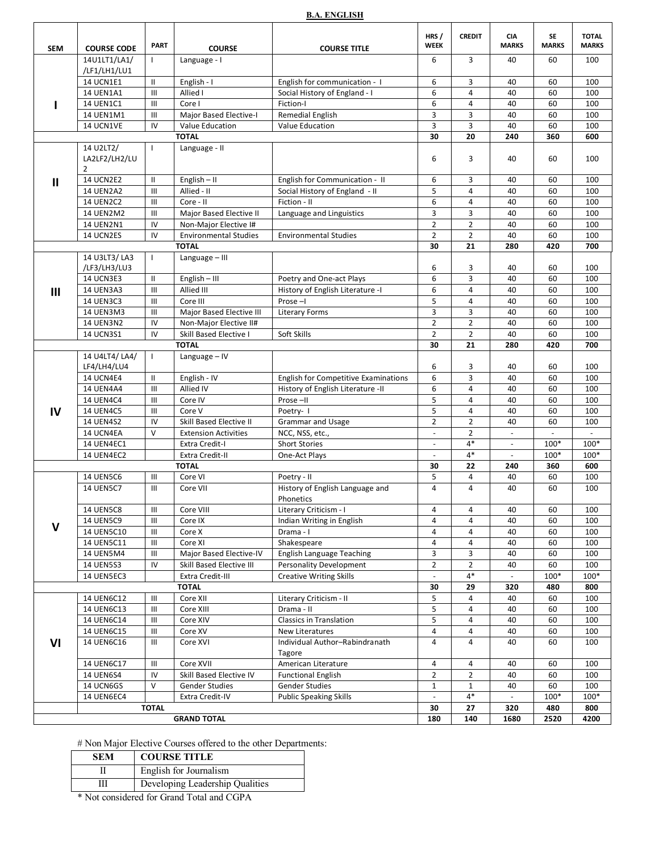#### **B.A. ENGLISH**

|              |                                              |                                    |                                          |                                                        | HRS /          | <b>CREDIT</b>        | CIA                      | <b>SE</b>    | <b>TOTAL</b> |
|--------------|----------------------------------------------|------------------------------------|------------------------------------------|--------------------------------------------------------|----------------|----------------------|--------------------------|--------------|--------------|
| <b>SEM</b>   | <b>COURSE CODE</b>                           | <b>PART</b>                        | <b>COURSE</b>                            | <b>COURSE TITLE</b>                                    | <b>WEEK</b>    |                      | <b>MARKS</b>             | <b>MARKS</b> | <b>MARKS</b> |
|              | 14U1LT1/LA1/<br>/LF1/LH1/LU1                 | $\mathbf{I}$                       | Language - I                             |                                                        | 6              | 3                    | 40                       | 60           | 100          |
|              | <b>14 UCN1E1</b>                             | $\mathbf{II}$                      | English - I                              | English for communication - I                          | 6              | 3                    | 40                       | 60           | 100          |
|              | <b>14 UEN1A1</b>                             | $\ensuremath{\mathsf{III}}\xspace$ | Allied I                                 | Social History of England - I                          | 6              | 4                    | 40                       | 60           | 100          |
|              | 14 UEN1C1                                    | III                                | Core I                                   | Fiction-I                                              | 6              | $\overline{4}$       | 40                       | 60           | 100          |
|              | 14 UEN1M1                                    | Ш                                  | Major Based Elective-I                   | Remedial English                                       | 3              | 3                    | 40                       | 60           | 100          |
|              | 14 UCN1VE                                    | IV                                 | Value Education                          | Value Education                                        | 3              | 3                    | 40                       | 60           | 100          |
|              |                                              |                                    | <b>TOTAL</b>                             |                                                        | 30             | 20                   | 240                      | 360          | 600          |
|              | 14 U2LT2/<br>LA2LF2/LH2/LU<br>$\overline{2}$ | $\mathbf{I}$                       | Language - II                            |                                                        | 6              | 3                    | 40                       | 60           | 100          |
| $\mathbf{I}$ | <b>14 UCN2E2</b>                             | $\mathbf{II}$                      | English $-$ II                           | English for Communication - II                         | 6              | 3                    | 40                       | 60           | 100          |
|              | <b>14 UEN2A2</b>                             | Ш                                  | Allied - II                              | Social History of England - II                         | 5              | 4                    | 40                       | 60           | 100          |
|              | <b>14 UEN2C2</b>                             | III                                | Core - II                                | Fiction - II                                           | 6              | 4                    | 40                       | 60           | 100          |
|              | <b>14 UEN2M2</b>                             | Ш                                  | Major Based Elective II                  | Language and Linguistics                               | 3              | 3                    | 40                       | 60           | 100          |
|              | 14 UEN2N1                                    | IV                                 | Non-Major Elective I#                    |                                                        | $\overline{2}$ | $\overline{2}$       | 40                       | 60           | 100          |
|              | 14 UCN2ES                                    | IV                                 | <b>Environmental Studies</b>             | <b>Environmental Studies</b>                           | $\overline{2}$ | $\overline{2}$       | 40                       | 60           | 100          |
|              |                                              |                                    | <b>TOTAL</b>                             |                                                        | 30             | 21                   | 280                      | 420          | 700          |
|              | 14 U3LT3/ LA3                                | $\mathbf{I}$                       | Language - III                           |                                                        |                |                      |                          |              |              |
|              | /LF3/LH3/LU3                                 |                                    |                                          |                                                        | 6              | 3                    | 40                       | 60           | 100          |
|              | <b>14 UCN3E3</b>                             | $\mathbf{II}$                      | English - III                            | Poetry and One-act Plays                               | 6              | 3                    | 40                       | 60           | 100          |
| Ш            | 14 UEN3A3                                    | III                                | Allied III                               | History of English Literature -I                       | 6              | 4                    | 40                       | 60           | 100          |
|              | <b>14 UEN3C3</b>                             | Ш                                  | Core III                                 | Prose-I                                                | 5              | $\overline{4}$       | 40                       | 60           | 100          |
|              | 14 UEN3M3                                    | Ш                                  | Major Based Elective III                 | <b>Literary Forms</b>                                  | 3              | 3                    | 40                       | 60           | 100          |
|              | <b>14 UEN3N2</b>                             | IV                                 | Non-Major Elective II#                   |                                                        | $\overline{2}$ | $\overline{2}$       | 40                       | 60           | 100          |
|              | 14 UCN3S1                                    | IV                                 | Skill Based Elective I                   | Soft Skills                                            | $\overline{2}$ | $\overline{2}$       | 40                       | 60           | 100          |
|              |                                              |                                    | <b>TOTAL</b>                             |                                                        | 30             | 21                   | 280                      | 420          | 700          |
|              | 14 U4LT4/ LA4/                               | $\mathbf{I}$                       | Language - IV                            |                                                        |                |                      |                          |              |              |
|              | LF4/LH4/LU4                                  |                                    |                                          |                                                        | 6              | 3                    | 40                       | 60           | 100          |
|              | <b>14 UCN4E4</b>                             | $\mathbf{II}$                      | English - IV                             | English for Competitive Examinations                   | 6              | 3                    | 40                       | 60           | 100          |
|              | <b>14 UEN4A4</b>                             | III                                | Allied IV                                | History of English Literature -II                      | 6              | $\overline{4}$       | 40                       | 60           | 100          |
|              | <b>14 UEN4C4</b>                             | III                                | Core IV                                  | Prose-II                                               | 5              | 4                    | 40                       | 60           | 100          |
| IV           | <b>14 UEN4C5</b>                             | Ш                                  | Core V                                   | Poetry- I                                              | 5              | $\overline{4}$       | 40                       | 60           | 100          |
|              | <b>14 UEN4S2</b>                             | IV                                 | Skill Based Elective II                  | <b>Grammar and Usage</b>                               | $\overline{2}$ | $\overline{2}$       | 40                       | 60           | 100          |
|              | 14 UCN4EA                                    | $\vee$                             | <b>Extension Activities</b>              | NCC, NSS, etc.,                                        | $\blacksquare$ | $\overline{2}$       | $\overline{\phantom{a}}$ |              |              |
|              | 14 UEN4EC1                                   |                                    | Extra Credit-I                           | <b>Short Stories</b>                                   |                | $4*$                 |                          | $100*$       | 100*         |
|              | 14 UEN4EC2                                   |                                    | Extra Credit-II                          | One-Act Plays                                          |                | $4*$                 |                          | $100*$       | 100*         |
|              |                                              |                                    | <b>TOTAL</b>                             |                                                        | 30             | 22                   | 240                      | 360          | 600          |
|              | <b>14 UEN5C6</b>                             | $\mathsf{III}$                     | Core VI                                  | Poetry - II                                            | 5              | 4                    | 40                       | 60           | 100          |
|              | <b>14 UEN5C7</b>                             | $\mathsf{III}$                     | Core VII                                 | History of English Language and<br>Phonetics           | $\overline{4}$ | $\overline{4}$       | 40                       | 60           | 100          |
|              | <b>14 UEN5C8</b>                             | Ш                                  | Core VIII                                | Literary Criticism - I                                 | 4              | 4                    | 40                       | 60           | 100          |
|              | <b>14 UEN5C9</b>                             | Ш                                  | Core IX                                  | Indian Writing in English                              | $\overline{4}$ | $\overline{4}$       | 40                       | 60           | 100          |
| $\mathbf v$  | 14 UEN5C10                                   | Ш                                  | Core X                                   | Drama - I                                              | 4              | 4                    | 40                       | 60           | 100          |
|              | 14 UEN5C11                                   | Ш                                  | Core XI                                  | Shakespeare                                            | 4              | 4                    | 40                       | 60           | 100          |
|              | 14 UEN5M4                                    | Ш                                  | Major Based Elective-IV                  | <b>English Language Teaching</b>                       | 3              | 3                    | 40                       | 60           | 100          |
|              | <b>14 UEN5S3</b>                             | IV                                 | Skill Based Elective III                 | Personality Development                                | $\overline{2}$ | $\overline{2}$       | 40                       | 60           | 100          |
|              | 14 UEN5EC3                                   |                                    | Extra Credit-III                         | <b>Creative Writing Skills</b>                         | ä,             | $4*$                 | $\overline{\phantom{a}}$ | 100*         | 100*         |
|              |                                              |                                    | <b>TOTAL</b>                             |                                                        | 30             | 29                   | 320                      | 480          | 800          |
|              | 14 UEN6C12                                   | Ш                                  | Core XII                                 | Literary Criticism - II                                | 5              | 4                    | 40                       | 60           | 100          |
|              | 14 UEN6C13                                   | Ш                                  | Core XIII                                | Drama - II                                             | 5              | 4                    | 40                       | 60           | 100          |
|              | 14 UEN6C14                                   | Ш                                  | Core XIV                                 | <b>Classics in Translation</b>                         | 5              | 4                    | 40                       | 60           | 100          |
|              | 14 UEN6C15                                   | Ш                                  | Core XV                                  | New Literatures                                        | 4              | 4                    | 40                       | 60           | 100          |
| VI           | 14 UEN6C16                                   | Ш                                  | Core XVI                                 | Individual Author-Rabindranath                         | $\overline{4}$ | 4                    | 40                       | 60           | 100          |
|              | 14 UEN6C17                                   |                                    | Core XVII                                | Tagore<br>American Literature                          | 4              | 4                    |                          |              | 100          |
|              |                                              | Ш                                  |                                          |                                                        |                |                      | 40                       | 60           |              |
|              | <b>14 UEN6S4</b>                             | IV<br>$\mathsf{V}$                 | Skill Based Elective IV                  | <b>Functional English</b>                              | $\overline{2}$ | $\overline{2}$       | 40                       | 60           | 100          |
|              | 14 UCN6GS<br><b>14 UEN6EC4</b>               |                                    | <b>Gender Studies</b><br>Extra Credit-IV | <b>Gender Studies</b><br><b>Public Speaking Skills</b> | $\mathbf{1}$   | $\mathbf{1}$<br>$4*$ | 40                       | 60<br>100*   | 100<br>100*  |
|              |                                              | <b>TOTAL</b>                       |                                          |                                                        |                | 27                   |                          |              |              |
|              |                                              |                                    |                                          |                                                        | 30             | 140                  | 320                      | 480          | 800          |
|              |                                              |                                    | <b>GRAND TOTAL</b>                       |                                                        | 180            |                      | 1680                     | 2520         | 4200         |

# Non Major Elective Courses offered to the other Departments:

| SEM | <b>COURSE TITLE</b>             |
|-----|---------------------------------|
|     | English for Journalism          |
| Ш   | Developing Leadership Qualities |

\* Not considered for Grand Total and CGPA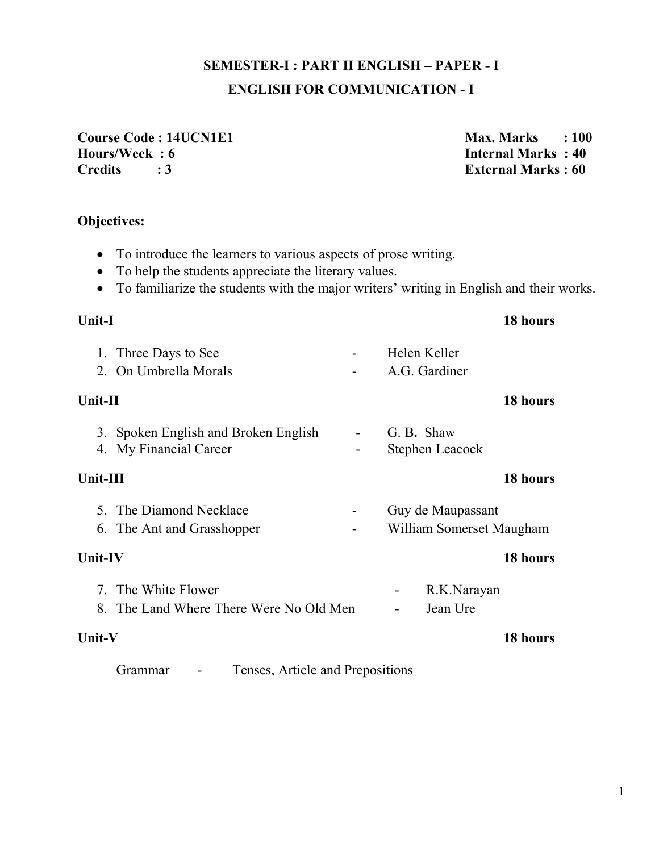# **SEMESTER-I : PART II ENGLISH – PAPER - I ENGLISH FOR COMMUNICATION - I**

**Course Code : 14UCN1E1** Max. Marks : 100 **Hours/Week : 6 Internal Marks : 40 Credits : 3 External Marks : 60**

### **Objectives:**

- To introduce the learners to various aspects of prose writing.
- To help the students appreciate the literary values.
- To familiarize the students with the major writers' writing in English and their works.

### **Unit-I 18 hours**

|                 | 18 hours |
|-----------------|----------|
| - A.G. Gardiner |          |
| Helen Keller    |          |
|                 |          |

| 3. Spoken English and Broken English | G. B. Shaw      |
|--------------------------------------|-----------------|
| 4. My Financial Career               | Stephen Leacock |

### **Unit-III 18 hours**

| 5. The Diamond Necklace    | Guy de Maupassant        |
|----------------------------|--------------------------|
| 6. The Ant and Grasshopper | William Somerset Maugham |

### **Unit-IV 18 hours**

7. The White Flower **1988** - R.K.Narayan 8. The Land Where There Were No Old Men - Jean Ure

# **Unit-V 18 hours**

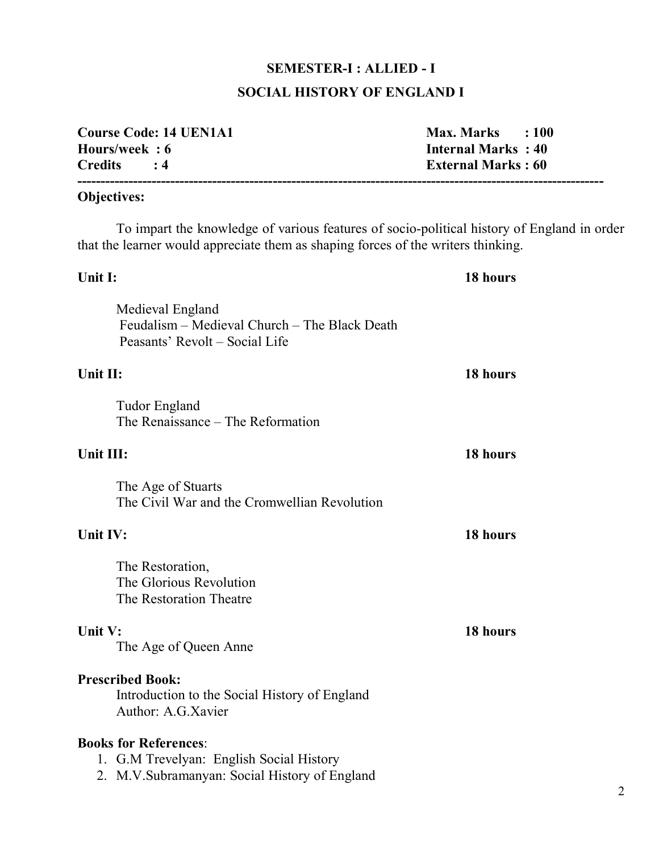# **SEMESTER-I : ALLIED - I SOCIAL HISTORY OF ENGLAND I**

| <b>Course Code: 14 UEN1A1</b><br>Hours/week: 6<br><b>Credits</b><br>$\div 4$                                                                                                    | <b>Max. Marks</b><br>: 100<br><b>Internal Marks: 40</b><br><b>External Marks: 60</b> |
|---------------------------------------------------------------------------------------------------------------------------------------------------------------------------------|--------------------------------------------------------------------------------------|
| <b>Objectives:</b>                                                                                                                                                              |                                                                                      |
| To impart the knowledge of various features of socio-political history of England in order<br>that the learner would appreciate them as shaping forces of the writers thinking. |                                                                                      |
| Unit I:                                                                                                                                                                         | 18 hours                                                                             |
| Medieval England<br>Feudalism – Medieval Church – The Black Death<br>Peasants' Revolt – Social Life                                                                             |                                                                                      |
| Unit II:                                                                                                                                                                        | 18 hours                                                                             |
| <b>Tudor England</b><br>The Renaissance – The Reformation                                                                                                                       |                                                                                      |
| Unit III:                                                                                                                                                                       | 18 hours                                                                             |
| The Age of Stuarts<br>The Civil War and the Cromwellian Revolution                                                                                                              |                                                                                      |
| Unit IV:                                                                                                                                                                        | 18 hours                                                                             |
| The Restoration,<br>The Glorious Revolution<br>The Restoration Theatre                                                                                                          |                                                                                      |
| Unit V:<br>The Age of Queen Anne                                                                                                                                                | 18 hours                                                                             |
| <b>Prescribed Book:</b><br>Introduction to the Social History of England<br>Author: A.G.Xavier                                                                                  |                                                                                      |
| <b>Books for References:</b><br>1. G.M Trevelyan: English Social History<br>2. M.V.Subramanyan: Social History of England                                                       |                                                                                      |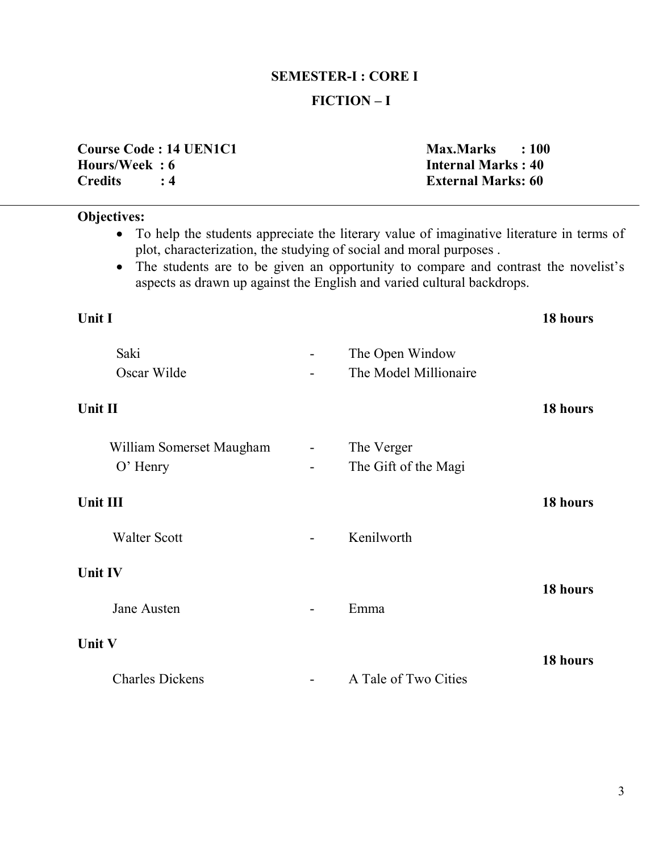#### **SEMESTER-I : CORE I**

#### **FICTION – I**

| <b>Course Code: 14 UEN1C1</b> | <b>Max.Marks</b>          | $\pm 100$ |
|-------------------------------|---------------------------|-----------|
| Hours/Week : 6                | <b>Internal Marks: 40</b> |           |
| <b>Credits</b>                | <b>External Marks: 60</b> |           |

#### **Objectives:**

- To help the students appreciate the literary value of imaginative literature in terms of plot, characterization, the studying of social and moral purposes .
- The students are to be given an opportunity to compare and contrast the novelist's aspects as drawn up against the English and varied cultural backdrops.

# **Unit I** 18 hours Saki - The Open Window Oscar Wilde - The Model Millionaire **Unit II** 18 hours William Somerset Maugham - The Verger O' Henry **-** The Gift of the Magi **Unit III** 18 hours Walter Scott **-** Kenilworth **Unit IV 18 hours**  Jane Austen **-** Emma **Unit V 18 hours**  Charles Dickens - A Tale of Two Cities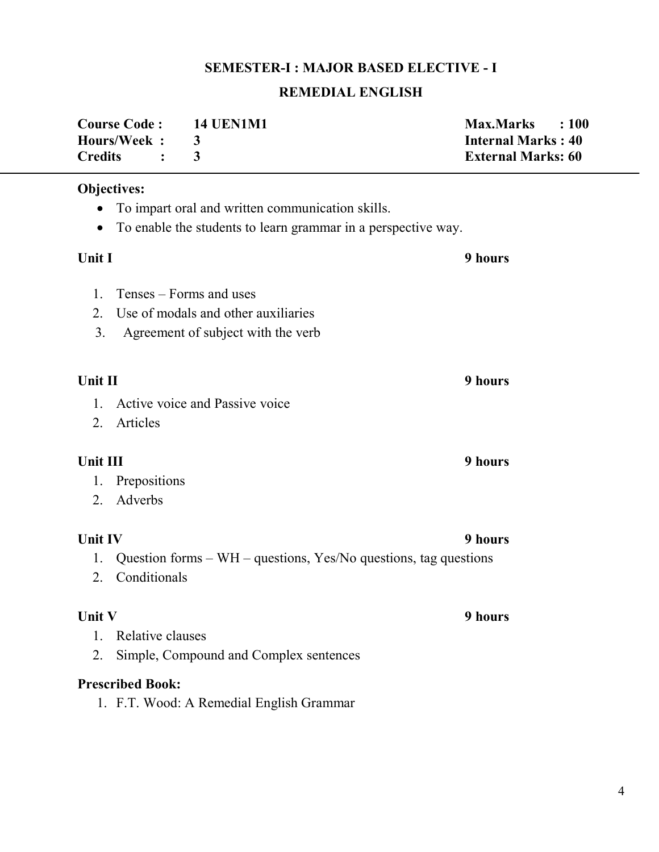#### **SEMESTER-I : MAJOR BASED ELECTIVE - I**

### **REMEDIAL ENGLISH**

| <b>Course Code:</b> | <b>14 UEN1M1</b> | Max.Marks : 100           |  |
|---------------------|------------------|---------------------------|--|
| Hours/Week: 3       |                  | <b>Internal Marks: 40</b> |  |
| Credits : 3         |                  | <b>External Marks: 60</b> |  |

#### **Objectives:**

- To impart oral and written communication skills.
- To enable the students to learn grammar in a perspective way.

| Unit I          |                                                                   | 9 hours |
|-----------------|-------------------------------------------------------------------|---------|
| $\mathbf{1}$ .  | Tenses – Forms and uses                                           |         |
| 2.              | Use of modals and other auxiliaries                               |         |
| 3 <sub>1</sub>  | Agreement of subject with the verb                                |         |
| Unit II         |                                                                   | 9 hours |
| 1.              | Active voice and Passive voice                                    |         |
| $2_{-}$         | Articles                                                          |         |
| <b>Unit III</b> |                                                                   | 9 hours |
| 1.              | Prepositions                                                      |         |
| 2.              | Adverbs                                                           |         |
| <b>Unit IV</b>  |                                                                   | 9 hours |
| 1.              | Question forms $-WH$ – questions, Yes/No questions, tag questions |         |
| 2.              | Conditionals                                                      |         |
| Unit V          |                                                                   | 9 hours |
| $\mathbf{1}$ .  | Relative clauses                                                  |         |
| 2.              | Simple, Compound and Complex sentences                            |         |
|                 | <b>Prescribed Book:</b>                                           |         |

1. F.T. Wood: A Remedial English Grammar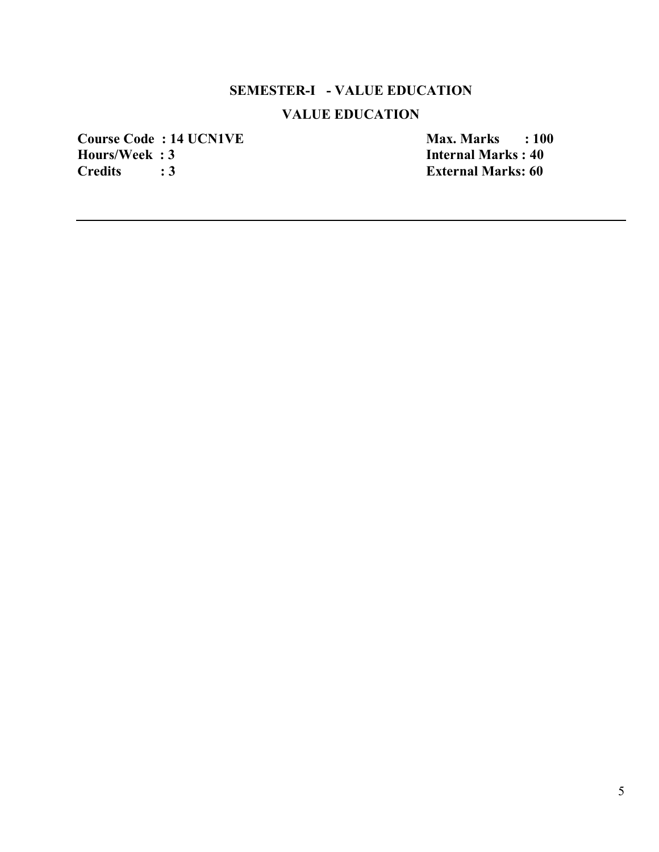### **SEMESTER-I - VALUE EDUCATION**

### **VALUE EDUCATION**

**Course Code : 14 UCN1VE** Max. Marks : 100<br> **Hours/Week : 3** Internal Marks : 40 **Hours/Week : 3**<br>Credits : 3 **Internal Marks : 40**<br>External Marks: 60

**External Marks: 60**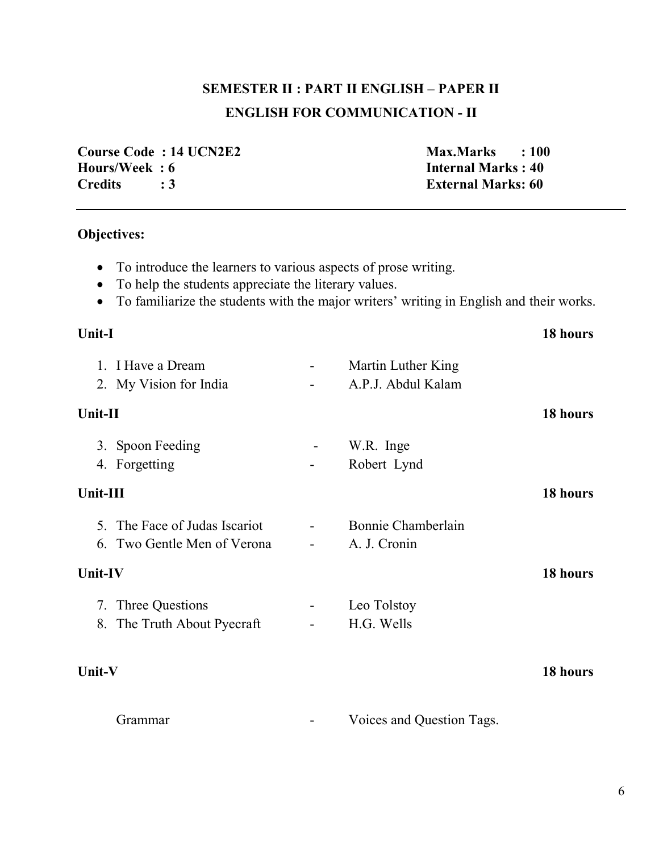# **SEMESTER II : PART II ENGLISH – PAPER II ENGLISH FOR COMMUNICATION - II**

**Course Code : 14 UCN2E2** Max.Marks : 100<br> **Hours/Week : 6 Max.Marks : 40 Credits : 3 External Marks: 60**

**Internal Marks : 40** 

#### **Objectives:**

- To introduce the learners to various aspects of prose writing.
- To help the students appreciate the literary values.
- To familiarize the students with the major writers' writing in English and their works.

#### **Unit-I 18 hours**

| 1. I Have a Dream                 | 2. My Vision for India                                       | $\blacksquare$                      | Martin Luther King<br>A.P.J. Abdul Kalam |          |
|-----------------------------------|--------------------------------------------------------------|-------------------------------------|------------------------------------------|----------|
| Unit-II                           |                                                              |                                     |                                          | 18 hours |
| 3. Spoon Feeding<br>4. Forgetting |                                                              |                                     | W.R. Inge<br>Robert Lynd                 |          |
| Unit-III                          |                                                              |                                     |                                          | 18 hours |
|                                   | 5. The Face of Judas Iscariot<br>6. Two Gentle Men of Verona |                                     | Bonnie Chamberlain<br>A. J. Cronin       |          |
| Unit-IV                           |                                                              |                                     |                                          | 18 hours |
| 7. Three Questions                | 8. The Truth About Pyecraft                                  | $\blacksquare$<br>$\qquad \qquad -$ | Leo Tolstoy<br>H.G. Wells                |          |
| Unit-V                            |                                                              |                                     |                                          | 18 hours |
| Grammar                           |                                                              |                                     | Voices and Question Tags.                |          |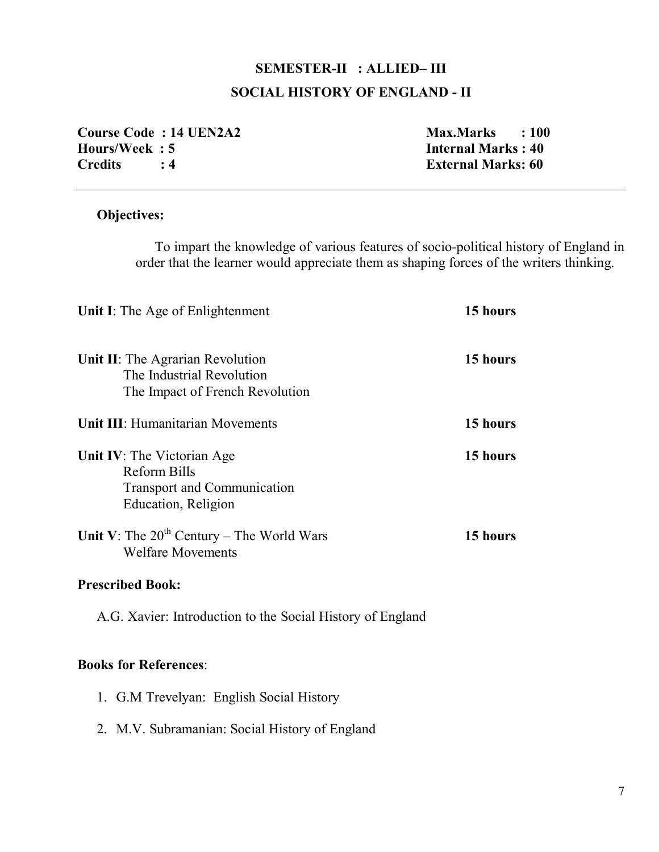# **SEMESTER-II : ALLIED– III SOCIAL HISTORY OF ENGLAND - II**

|                | <b>Course Code: 14 UEN2A2</b> | <b>Max.Marks</b><br>$\therefore$ 100 |
|----------------|-------------------------------|--------------------------------------|
| Hours/Week: 5  |                               | <b>Internal Marks: 40</b>            |
| <b>Credits</b> |                               | <b>External Marks: 60</b>            |

#### **Objectives:**

To impart the knowledge of various features of socio-political history of England in order that the learner would appreciate them as shaping forces of the writers thinking.

| <b>Unit I:</b> The Age of Enlightenment                                                                        | 15 hours |
|----------------------------------------------------------------------------------------------------------------|----------|
| Unit II: The Agrarian Revolution<br>The Industrial Revolution<br>The Impact of French Revolution               | 15 hours |
| <b>Unit III: Humanitarian Movements</b>                                                                        | 15 hours |
| Unit IV: The Victorian Age<br><b>Reform Bills</b><br><b>Transport and Communication</b><br>Education, Religion | 15 hours |
| Unit V: The $20^{th}$ Century – The World Wars<br><b>Welfare Movements</b>                                     | 15 hours |
| <b>Prescribed Book:</b>                                                                                        |          |
| A.G. Xavier: Introduction to the Social History of England                                                     |          |

## **Books for References**:

- 1. G.M Trevelyan: English Social History
- 2. M.V. Subramanian: Social History of England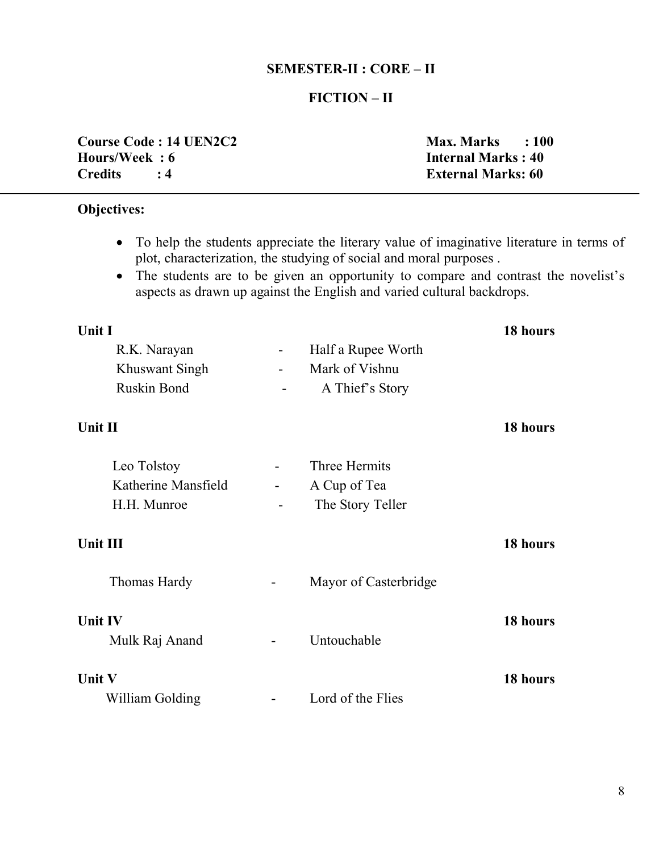#### **SEMESTER-II : CORE – II**

#### **FICTION – II**

|                | <b>Course Code: 14 UEN2C2</b> | <b>Max. Marks</b>         | $\therefore 100$ |
|----------------|-------------------------------|---------------------------|------------------|
| Hours/Week: 6  |                               | <b>Internal Marks: 40</b> |                  |
| <b>Credits</b> |                               | <b>External Marks: 60</b> |                  |

### **Objectives:**

- To help the students appreciate the literary value of imaginative literature in terms of plot, characterization, the studying of social and moral purposes .
- The students are to be given an opportunity to compare and contrast the novelist's aspects as drawn up against the English and varied cultural backdrops.

| Unit I              |                              |                       | 18 hours |
|---------------------|------------------------------|-----------------------|----------|
| R.K. Narayan        | $\qquad \qquad \blacksquare$ | Half a Rupee Worth    |          |
| Khuswant Singh      | $\qquad \qquad \blacksquare$ | Mark of Vishnu        |          |
| Ruskin Bond         |                              | A Thief's Story       |          |
| Unit II             |                              |                       | 18 hours |
| Leo Tolstoy         | $\overline{\phantom{a}}$     | Three Hermits         |          |
| Katherine Mansfield | -                            | A Cup of Tea          |          |
| H.H. Munroe         |                              | The Story Teller      |          |
| Unit III            |                              |                       | 18 hours |
| Thomas Hardy        |                              | Mayor of Casterbridge |          |
| <b>Unit IV</b>      |                              |                       | 18 hours |
| Mulk Raj Anand      |                              | Untouchable           |          |
| Unit V              |                              |                       | 18 hours |
| William Golding     |                              | Lord of the Flies     |          |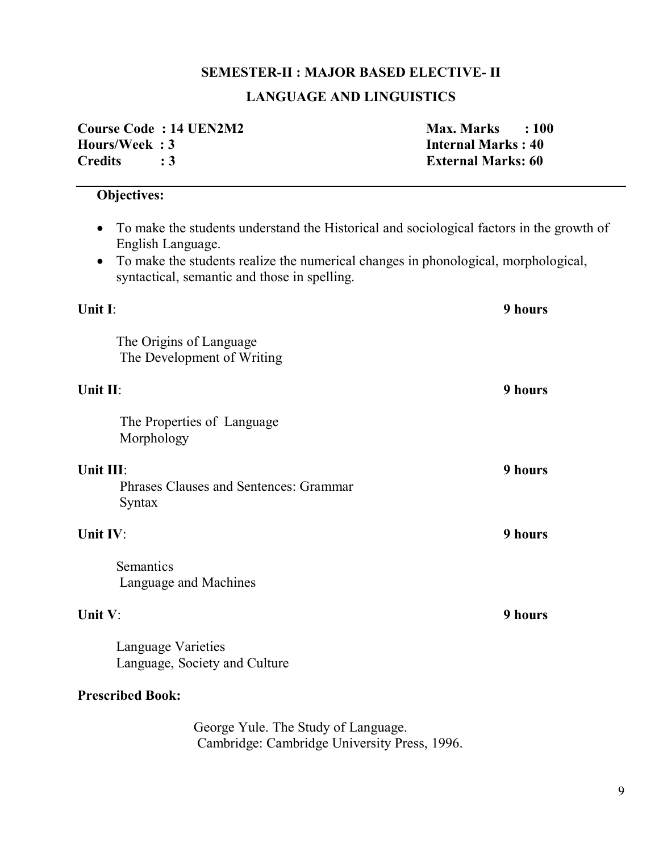#### **SEMESTER-II : MAJOR BASED ELECTIVE- II**

### **LANGUAGE AND LINGUISTICS**

|                | <b>Course Code: 14 UEN2M2</b> | $Max. Marks$ : 100        |
|----------------|-------------------------------|---------------------------|
| Hours/Week: 3  |                               | <b>Internal Marks: 40</b> |
| <b>Credits</b> |                               | <b>External Marks: 60</b> |

### **Objectives:**

- To make the students understand the Historical and sociological factors in the growth of English Language.
- To make the students realize the numerical changes in phonological, morphological, syntactical, semantic and those in spelling.

| Unit I:                                                       | 9 hours |
|---------------------------------------------------------------|---------|
| The Origins of Language<br>The Development of Writing         |         |
| Unit II:                                                      | 9 hours |
| The Properties of Language<br>Morphology                      |         |
| Unit III:<br>Phrases Clauses and Sentences: Grammar<br>Syntax | 9 hours |
| Unit IV:                                                      | 9 hours |
| Semantics<br>Language and Machines                            |         |
| Unit V:                                                       | 9 hours |
| Language Varieties<br>Language, Society and Culture           |         |
| <b>Prescribed Book:</b>                                       |         |

George Yule. The Study of Language. Cambridge: Cambridge University Press, 1996.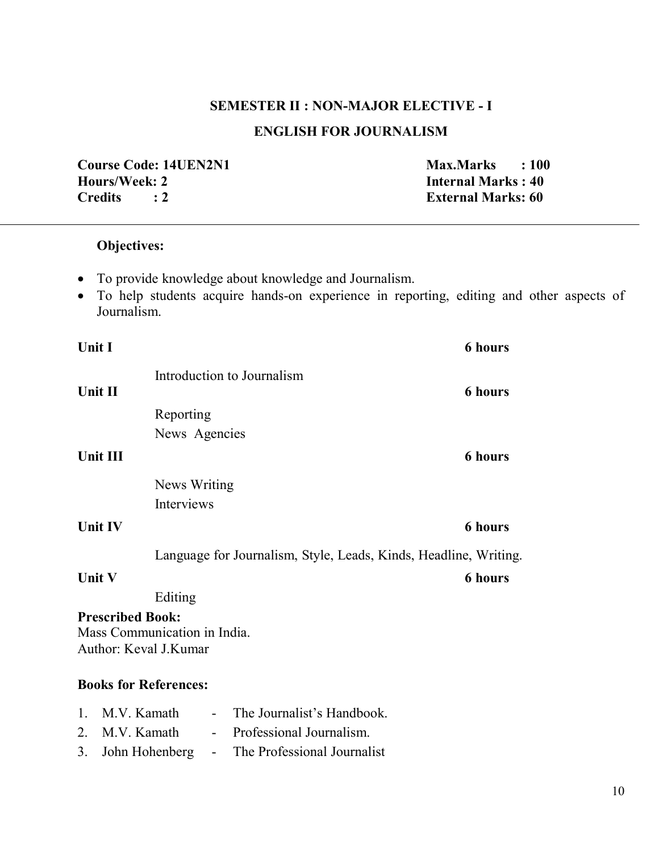### **SEMESTER II : NON-MAJOR ELECTIVE - I**

#### **ENGLISH FOR JOURNALISM**

**Course Code: 14UEN2N1 Max.Marks : 100 Hours/Week: 2 Internal Marks : 40 Credits : 2 External Marks: 60**

#### **Objectives:**

- To provide knowledge about knowledge and Journalism.
- To help students acquire hands-on experience in reporting, editing and other aspects of Journalism.

| <b>Unit I</b> |                                                                       | <b>6 hours</b> |
|---------------|-----------------------------------------------------------------------|----------------|
| Unit II       | Introduction to Journalism                                            | <b>6</b> hours |
|               | Reporting                                                             |                |
|               | News Agencies                                                         |                |
|               | Unit III                                                              | <b>6 hours</b> |
|               | News Writing                                                          |                |
|               | Interviews                                                            |                |
|               | Unit IV                                                               | <b>6 hours</b> |
|               | Language for Journalism, Style, Leads, Kinds, Headline, Writing.      |                |
| Unit V        |                                                                       | <b>6 hours</b> |
|               | Editing                                                               |                |
|               | <b>Prescribed Book:</b>                                               |                |
|               | Mass Communication in India.                                          |                |
|               | Author: Keval J.Kumar                                                 |                |
|               | <b>Books for References:</b>                                          |                |
| 1.            | M.V. Kamath<br>The Journalist's Handbook.<br>$\overline{\phantom{a}}$ |                |
|               | Professional Journalism.<br>2. M.V. Kamath<br>$\blacksquare$          |                |

3. John Hohenberg - The Professional Journalist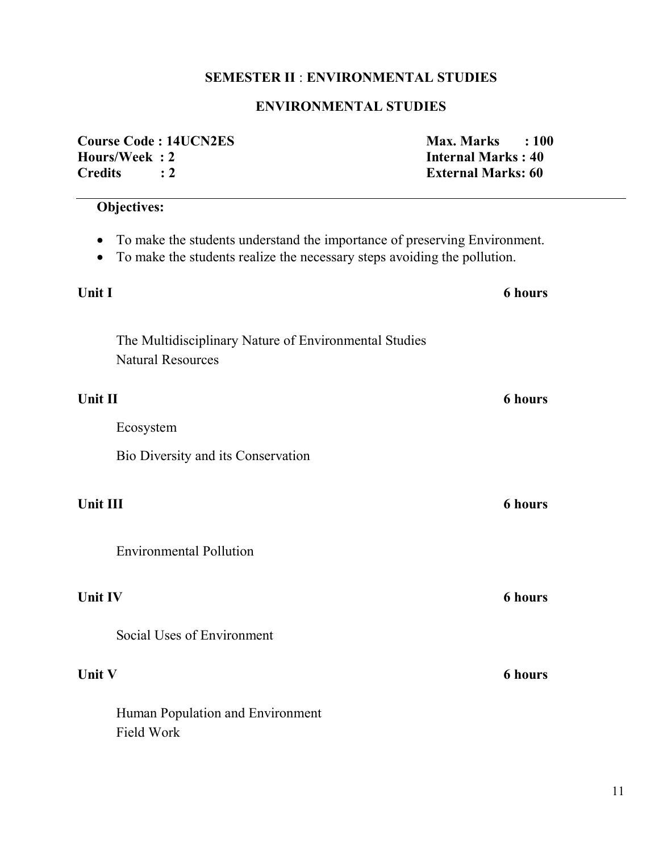#### **SEMESTER II** : **ENVIRONMENTAL STUDIES**

### **ENVIRONMENTAL STUDIES**

| Hours/Week: 2<br><b>Credits</b> | <b>Course Code: 14UCN2ES</b><br>$\cdot$ 2                                                                                                             | <b>Max. Marks</b><br>: 100<br><b>Internal Marks: 40</b><br><b>External Marks: 60</b> |  |
|---------------------------------|-------------------------------------------------------------------------------------------------------------------------------------------------------|--------------------------------------------------------------------------------------|--|
| Objectives:                     |                                                                                                                                                       |                                                                                      |  |
| $\bullet$<br>$\bullet$          | To make the students understand the importance of preserving Environment.<br>To make the students realize the necessary steps avoiding the pollution. |                                                                                      |  |
| Unit I                          |                                                                                                                                                       | <b>6</b> hours                                                                       |  |
|                                 | The Multidisciplinary Nature of Environmental Studies<br><b>Natural Resources</b>                                                                     |                                                                                      |  |
| Unit II                         |                                                                                                                                                       | <b>6</b> hours                                                                       |  |
| Ecosystem                       |                                                                                                                                                       |                                                                                      |  |
|                                 | Bio Diversity and its Conservation                                                                                                                    |                                                                                      |  |
| <b>Unit III</b>                 |                                                                                                                                                       | <b>6 hours</b>                                                                       |  |
|                                 | <b>Environmental Pollution</b>                                                                                                                        |                                                                                      |  |
| <b>Unit IV</b>                  |                                                                                                                                                       | <b>6 hours</b>                                                                       |  |
|                                 | Social Uses of Environment                                                                                                                            |                                                                                      |  |
| Unit V                          |                                                                                                                                                       | <b>6 hours</b>                                                                       |  |
| Field Work                      | Human Population and Environment                                                                                                                      |                                                                                      |  |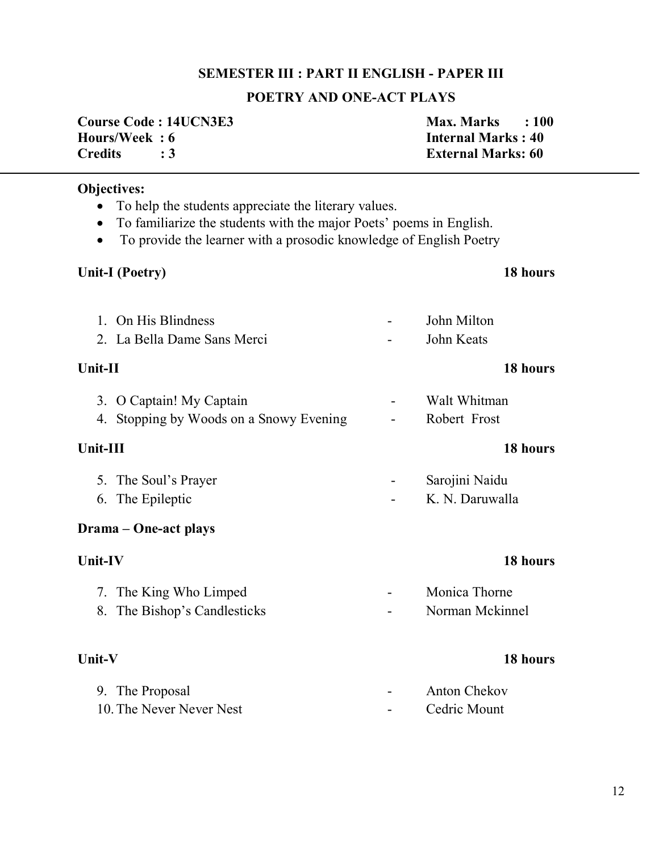### **SEMESTER III : PART II ENGLISH - PAPER III**

#### **POETRY AND ONE-ACT PLAYS**

**Course Code : 14UCN3E3** Max. Marks : 100 **Hours/Week: 6 Internal Marks: 40 Credits : 3 External Marks: 60** 

#### **Objectives:**

- To help the students appreciate the literary values.
- To familiarize the students with the major Poets' poems in English.
- To provide the learner with a prosodic knowledge of English Poetry

# **Unit-I (Poetry) 18 hours**  1. On His Blindness - John Milton 2. La Bella Dame Sans Merci - John Keats **Unit-II 18 hours**  3. O Captain! My Captain **Figure 2.1 Contained Automatic State Contained Automatic State Walt Whitman** 4. Stopping by Woods on a Snowy Evening - Robert Frost **Unit-III 18 hours**  5. The Soul's Prayer - Sarojini Naidu 6. The Epileptic **- Contract Executive Contract Executive Contract Contract Executive Contract Contract Contract Contract Contract Contract Contract Contract Contract Contract Contract Contract Contract Contract Contract C Drama – One-act plays Unit-IV 18 hours**  7. The King Who Limped - Monica Thorne 8. The Bishop's Candlesticks - Norman Mckinnel **Unit-V 18 hours**

| 9. The Proposal          | <b>Anton Chekov</b> |
|--------------------------|---------------------|
| 10. The Never Never Nest | Cedric Mount        |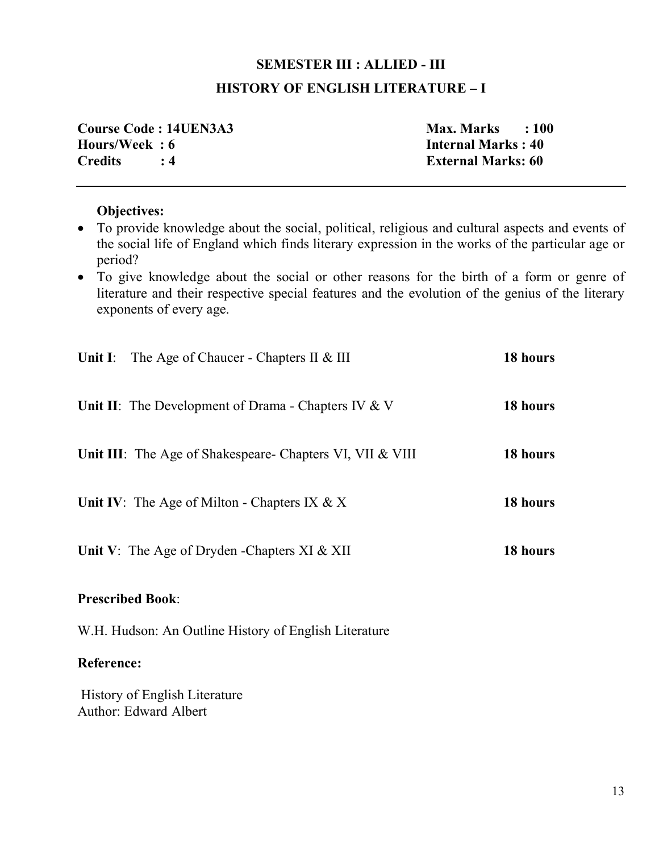# **SEMESTER III : ALLIED - III**

#### **HISTORY OF ENGLISH LITERATURE – I**

| <b>Course Code: 14UEN3A3</b> | <b>Max. Marks</b>         | $\pm 100$ |
|------------------------------|---------------------------|-----------|
| Hours/Week: 6                | <b>Internal Marks: 40</b> |           |
| <b>Credits</b>               | <b>External Marks: 60</b> |           |

#### **Objectives:**

- To provide knowledge about the social, political, religious and cultural aspects and events of the social life of England which finds literary expression in the works of the particular age or period?
- To give knowledge about the social or other reasons for the birth of a form or genre of literature and their respective special features and the evolution of the genius of the literary exponents of every age.

| Unit I: The Age of Chaucer - Chapters II $&$ III             | 18 hours |
|--------------------------------------------------------------|----------|
| <b>Unit II:</b> The Development of Drama - Chapters IV $&$ V | 18 hours |
| Unit III: The Age of Shakespeare- Chapters VI, VII & VIII    | 18 hours |
| Unit IV: The Age of Milton - Chapters IX $& X$               | 18 hours |
| Unit V: The Age of Dryden -Chapters XI $&$ XII               | 18 hours |

#### **Prescribed Book**:

W.H. Hudson: An Outline History of English Literature

#### **Reference:**

History of English Literature Author: Edward Albert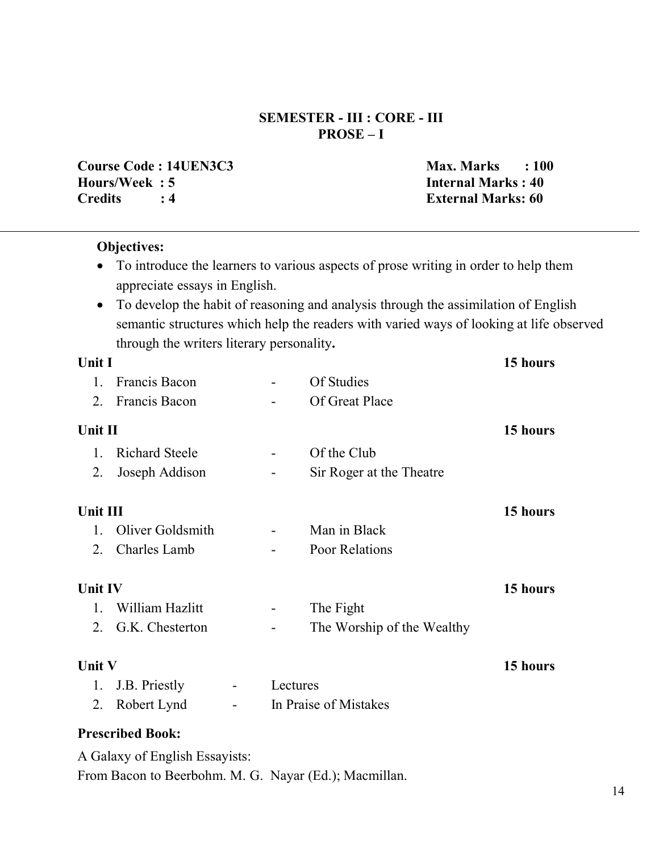#### **SEMESTER - III : CORE - III PROSE – I**

**Course Code : 14UEN3C3** Max. Marks : 100 **Hours/Week : 5 Internal Marks : 40 Credits : 4 External Marks: 60** 

#### **Objectives:**

- To introduce the learners to various aspects of prose writing in order to help them appreciate essays in English.
- To develop the habit of reasoning and analysis through the assimilation of English semantic structures which help the readers with varied ways of looking at life observed through the writers literary personality**.**

| Unit I         |                       |                |          |                            | 15 hours |
|----------------|-----------------------|----------------|----------|----------------------------|----------|
| 1.             | Francis Bacon         |                |          | Of Studies                 |          |
| 2.             | Francis Bacon         |                |          | Of Great Place             |          |
| Unit II        |                       |                |          |                            | 15 hours |
| 1.             | <b>Richard Steele</b> |                |          | Of the Club                |          |
| 2.             | Joseph Addison        |                |          | Sir Roger at the Theatre   |          |
| Unit III       |                       |                |          |                            | 15 hours |
| 1.             | Oliver Goldsmith      |                |          | Man in Black               |          |
| 2.             | Charles Lamb          |                |          | Poor Relations             |          |
| <b>Unit IV</b> |                       |                |          |                            | 15 hours |
| 1.             | William Hazlitt       |                | ۰.       | The Fight                  |          |
| 2.             | G.K. Chesterton       |                | -        | The Worship of the Wealthy |          |
| <b>Unit V</b>  |                       |                |          |                            | 15 hours |
| 1.             | J.B. Priestly         | $\blacksquare$ | Lectures |                            |          |
| 2.             | Robert Lynd           | -              |          | In Praise of Mistakes      |          |
|                |                       |                |          |                            |          |

#### **Prescribed Book:**

A Galaxy of English Essayists:

From Bacon to Beerbohm. M. G. Nayar (Ed.); Macmillan.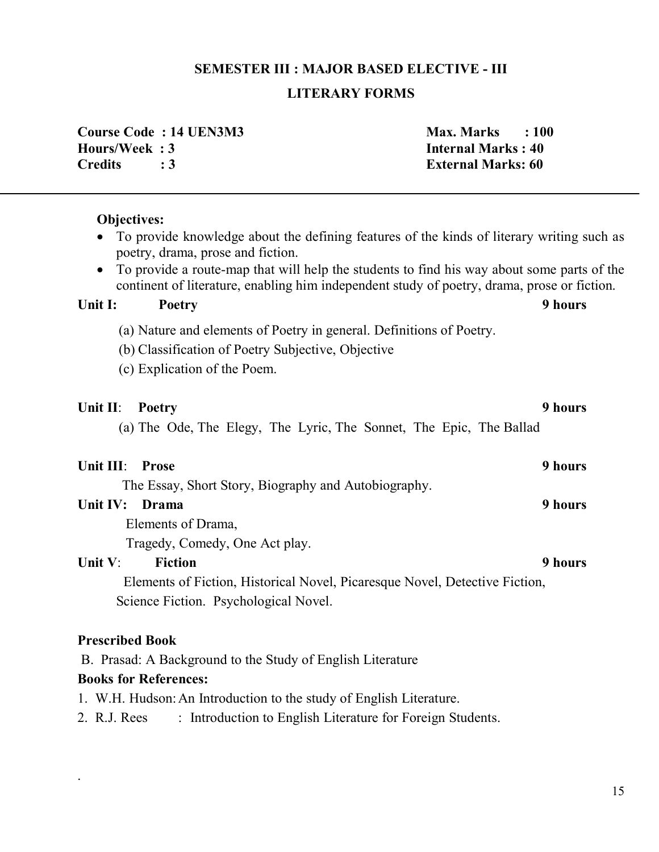# **SEMESTER III : MAJOR BASED ELECTIVE - III**

#### **LITERARY FORMS**

|                | <b>Course Code: 14 UEN3M3</b> |
|----------------|-------------------------------|
| Hours/Week: 3  |                               |
| <b>Credits</b> | : 3                           |

**COURTE:** Marks : 100 **Internal Marks : 40 External Marks: 60** 

| <b>Objectives:</b> |
|--------------------|
|--------------------|

i<br>I

- To provide knowledge about the defining features of the kinds of literary writing such as poetry, drama, prose and fiction.
- To provide a route-map that will help the students to find his way about some parts of the continent of literature, enabling him independent study of poetry, drama, prose or fiction.

#### Unit I: Poetry 9 hours

- (a) Nature and elements of Poetry in general. Definitions of Poetry.
- (b) Classification of Poetry Subjective, Objective
- (c) Explication of the Poem.

#### **Unit II**: **Poetry 9 hours**

(a) The Ode, The Elegy, The Lyric, The Sonnet, The Epic, The Ballad

## **Unit III**: **Prose** 9 hours The Essay, Short Story, Biography and Autobiography. **Unit IV:** Drama 9 **hours 9 hours**

Elements of Drama,

Tragedy, Comedy, One Act play.

#### **Unit V**: **Fiction 9 hours**

 Elements of Fiction, Historical Novel, Picaresque Novel, Detective Fiction, Science Fiction. Psychological Novel.

#### **Prescribed Book**

.

B. Prasad: A Background to the Study of English Literature

#### **Books for References:**

- 1. W.H. Hudson: An Introduction to the study of English Literature.
- 2. R.J. Rees : Introduction to English Literature for Foreign Students.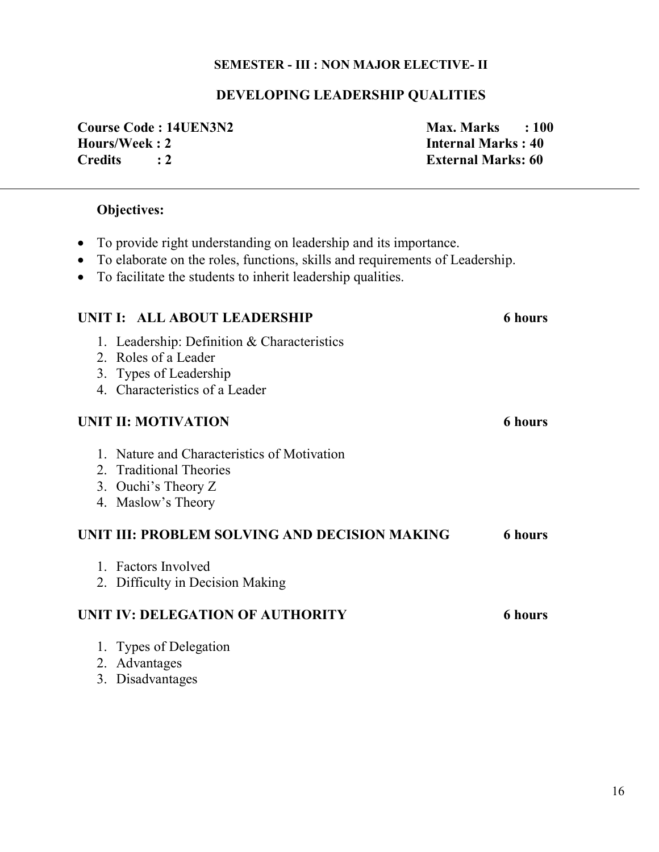#### **SEMESTER - III : NON MAJOR ELECTIVE- II**

#### **DEVELOPING LEADERSHIP QUALITIES**

| <b>Course Code: 14UEN3N2</b> | <b>Max. Marks</b><br>$\therefore 100$ |
|------------------------------|---------------------------------------|
| Hours/Week: 2                | <b>Internal Marks: 40</b>             |
| <b>Credits</b><br>$\cdot$ 2  | <b>External Marks: 60</b>             |

#### **Objectives:**

- To provide right understanding on leadership and its importance.
- To elaborate on the roles, functions, skills and requirements of Leadership.
- To facilitate the students to inherit leadership qualities.

#### **UNIT I: ALL ABOUT LEADERSHIP 6 hours**

- 1. Leadership: Definition & Characteristics
- 2. Roles of a Leader
- 3. Types of Leadership
- 4. Characteristics of a Leader

#### **UNIT II: MOTIVATION** 6 hours

- 1. Nature and Characteristics of Motivation
- 2. Traditional Theories
- 3. Ouchi's Theory Z
- 4. Maslow's Theory

#### **UNIT III: PROBLEM SOLVING AND DECISION MAKING 6 hours**

- 1. Factors Involved
- 2. Difficulty in Decision Making

#### **UNIT IV: DELEGATION OF AUTHORITY 6 hours**

- 1. Types of Delegation
- 2. Advantages
- 3. Disadvantages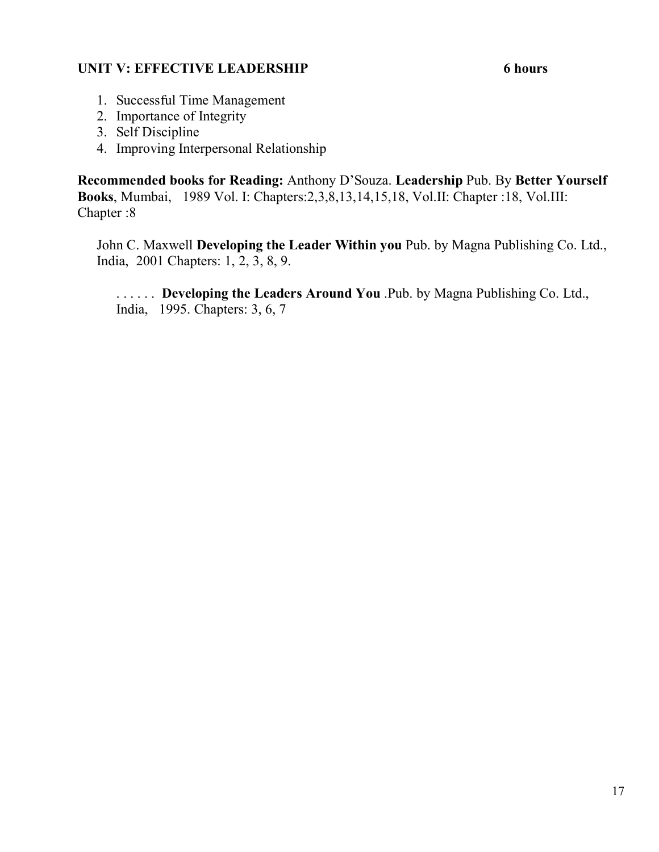#### **UNIT V: EFFECTIVE LEADERSHIP 6 hours**

- 1. Successful Time Management
- 2. Importance of Integrity
- 3. Self Discipline
- 4. Improving Interpersonal Relationship

**Recommended books for Reading:** Anthony D'Souza. **Leadership** Pub. By **Better Yourself Books**, Mumbai, 1989 Vol. I: Chapters:2,3,8,13,14,15,18, Vol.II: Chapter :18, Vol.III: Chapter :8

John C. Maxwell **Developing the Leader Within you** Pub. by Magna Publishing Co. Ltd., India, 2001 Chapters: 1, 2, 3, 8, 9.

. . . . . . **Developing the Leaders Around You** .Pub. by Magna Publishing Co. Ltd., India, 1995. Chapters: 3, 6, 7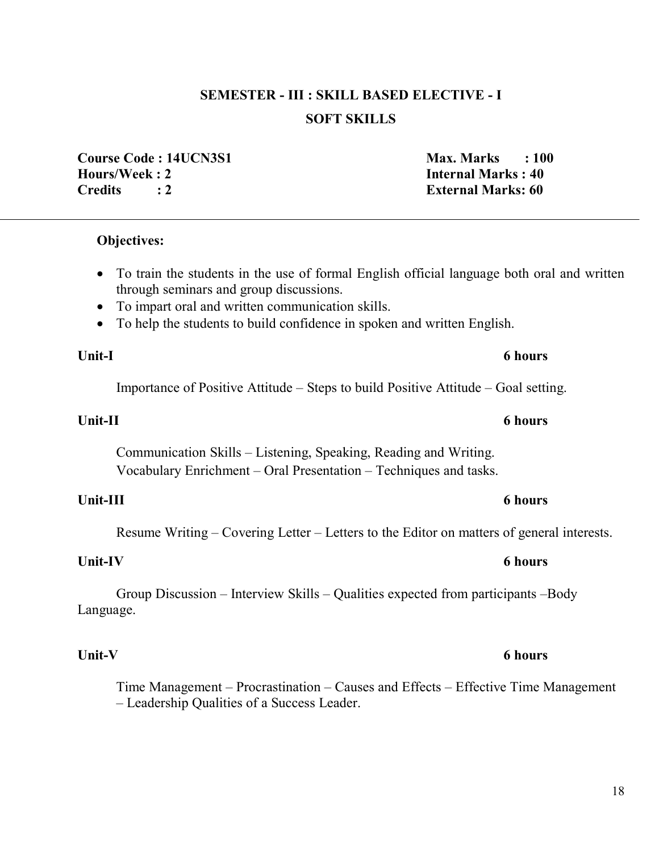# **SEMESTER - III : SKILL BASED ELECTIVE - I SOFT SKILLS**

**Course Code : 14UCN3S1 Max. Marks : 100 Hours/Week : 2 Internal Marks : 40 Credits : 2 External Marks: 60**

#### **Objectives:**

- To train the students in the use of formal English official language both oral and written through seminars and group discussions.
- To impart oral and written communication skills.
- To help the students to build confidence in spoken and written English.

#### Unit-I 6 hours

Importance of Positive Attitude – Steps to build Positive Attitude – Goal setting.

#### **Unit-II 6 hours**

Communication Skills – Listening, Speaking, Reading and Writing. Vocabulary Enrichment – Oral Presentation – Techniques and tasks.

**Unit-III 6 hours** 

Resume Writing – Covering Letter – Letters to the Editor on matters of general interests.

#### **Unit-IV 6 hours**

 Group Discussion – Interview Skills – Qualities expected from participants –Body Language.

#### Unit-V 6 hours

Time Management – Procrastination – Causes and Effects – Effective Time Management – Leadership Qualities of a Success Leader.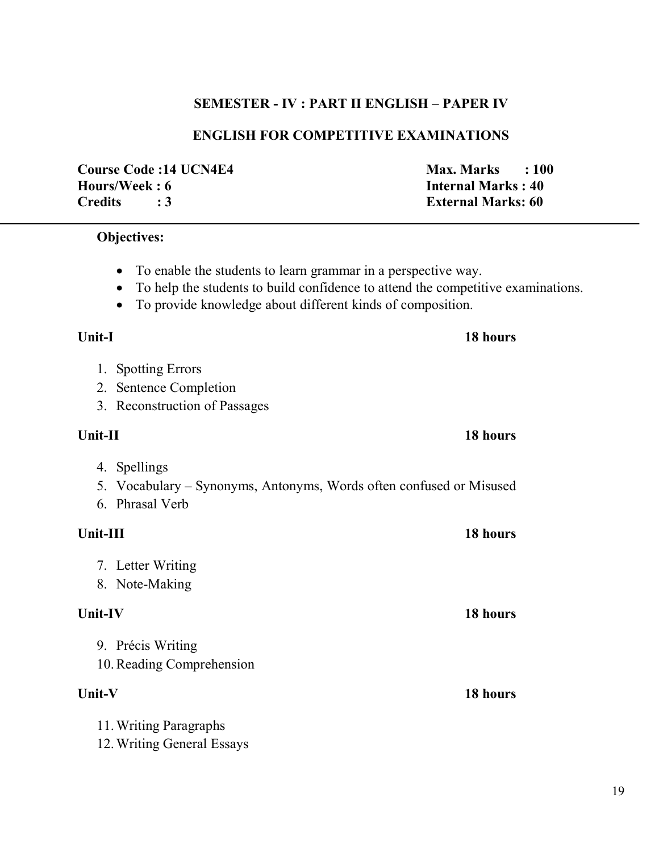#### **SEMESTER - IV : PART II ENGLISH – PAPER IV**

#### **ENGLISH FOR COMPETITIVE EXAMINATIONS**

**Course Code :14 UCN4E4** Max. Marks : 100 **Hours/Week : 6 Internal Marks : 40 Credits : 3 External Marks: 60**

#### **Objectives:**

- To enable the students to learn grammar in a perspective way.
- To help the students to build confidence to attend the competitive examinations.
- To provide knowledge about different kinds of composition.

#### **Unit-I 18 hours**

- 1. Spotting Errors
- 2. Sentence Completion
- 3. Reconstruction of Passages

#### **Unit-II 18 hours**

#### 4. Spellings

- 5. Vocabulary Synonyms, Antonyms, Words often confused or Misused
- 6. Phrasal Verb

| Unit-III                   | 18 hours |
|----------------------------|----------|
| 7. Letter Writing          |          |
| 8. Note-Making             |          |
| Unit-IV                    | 18 hours |
| 9. Précis Writing          |          |
| 10. Reading Comprehension  |          |
| <b>Unit-V</b>              | 18 hours |
| 11. Writing Paragraphs     |          |
| 12. Writing General Essays |          |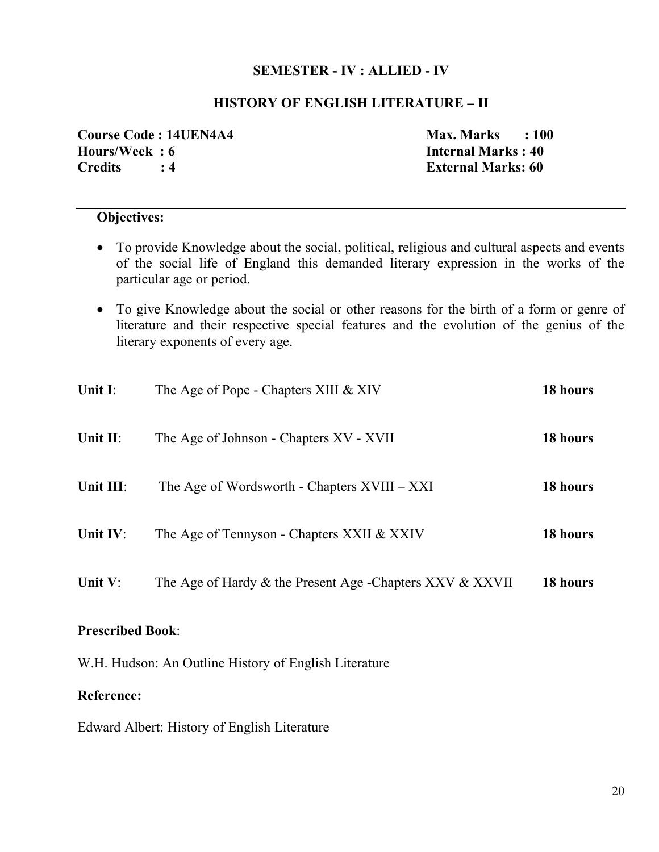#### **SEMESTER - IV : ALLIED - IV**

### **HISTORY OF ENGLISH LITERATURE – II**

| <b>Course Code: 14UEN4A4</b> | $Max. Marks$ : 100        |  |
|------------------------------|---------------------------|--|
| Hours/Week : 6               | <b>Internal Marks: 40</b> |  |
| Credits                      | <b>External Marks: 60</b> |  |

#### **Objectives:**

- To provide Knowledge about the social, political, religious and cultural aspects and events of the social life of England this demanded literary expression in the works of the particular age or period.
- To give Knowledge about the social or other reasons for the birth of a form or genre of literature and their respective special features and the evolution of the genius of the literary exponents of every age.

| Unit $I$ : | The Age of Pope - Chapters XIII & XIV                    | 18 hours |
|------------|----------------------------------------------------------|----------|
| Unit II:   | The Age of Johnson - Chapters XV - XVII                  | 18 hours |
| Unit III:  | The Age of Wordsworth - Chapters XVIII – XXI             | 18 hours |
| Unit IV:   | The Age of Tennyson - Chapters XXII & XXIV               | 18 hours |
| Unit $V$ : | The Age of Hardy & the Present Age -Chapters XXV & XXVII | 18 hours |

#### **Prescribed Book**:

W.H. Hudson: An Outline History of English Literature

#### **Reference:**

Edward Albert: History of English Literature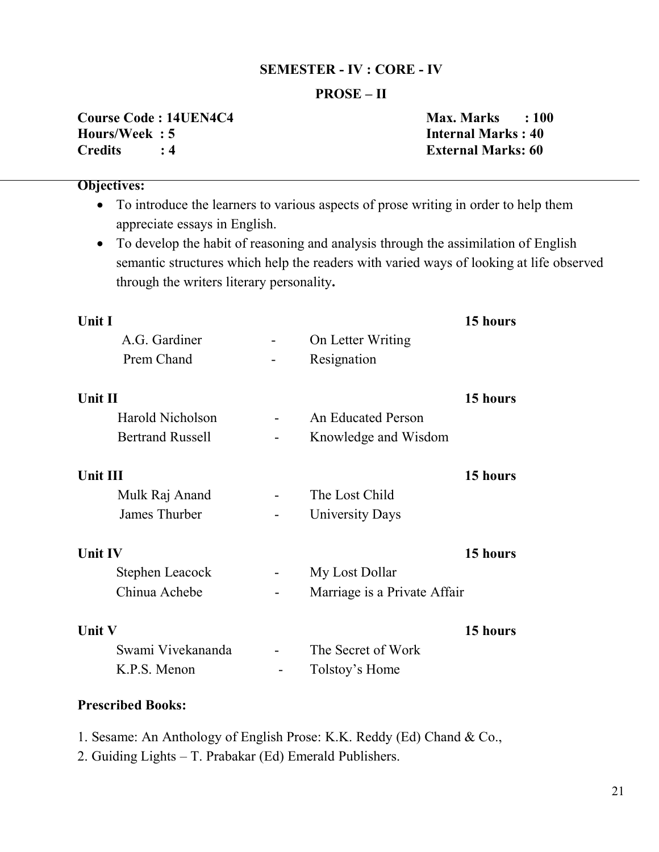#### **SEMESTER - IV : CORE - IV**

#### **PROSE – II**

**Course Code : 14UEN4C4** Max. Marks : 100 **Hours/Week : 5 Internal Marks : 40 Credits : 4 External Marks: 60**

**Objectives:** 

- To introduce the learners to various aspects of prose writing in order to help them appreciate essays in English.
- To develop the habit of reasoning and analysis through the assimilation of English semantic structures which help the readers with varied ways of looking at life observed through the writers literary personality**.**

| <b>Unit I</b>           |                              | 15 hours |
|-------------------------|------------------------------|----------|
| A.G. Gardiner           | On Letter Writing            |          |
| Prem Chand              | Resignation                  |          |
| Unit II                 |                              | 15 hours |
| Harold Nicholson        | <b>An Educated Person</b>    |          |
| <b>Bertrand Russell</b> | Knowledge and Wisdom         |          |
| Unit III                |                              | 15 hours |
| Mulk Raj Anand          | The Lost Child               |          |
| James Thurber           | University Days              |          |
| Unit IV                 |                              | 15 hours |
| Stephen Leacock         | My Lost Dollar               |          |
| Chinua Achebe           | Marriage is a Private Affair |          |
| Unit V                  |                              | 15 hours |
| Swami Vivekananda       | The Secret of Work           |          |
| K.P.S. Menon            | Tolstoy's Home               |          |

#### **Prescribed Books:**

1. Sesame: An Anthology of English Prose: K.K. Reddy (Ed) Chand & Co.,

2. Guiding Lights – T. Prabakar (Ed) Emerald Publishers.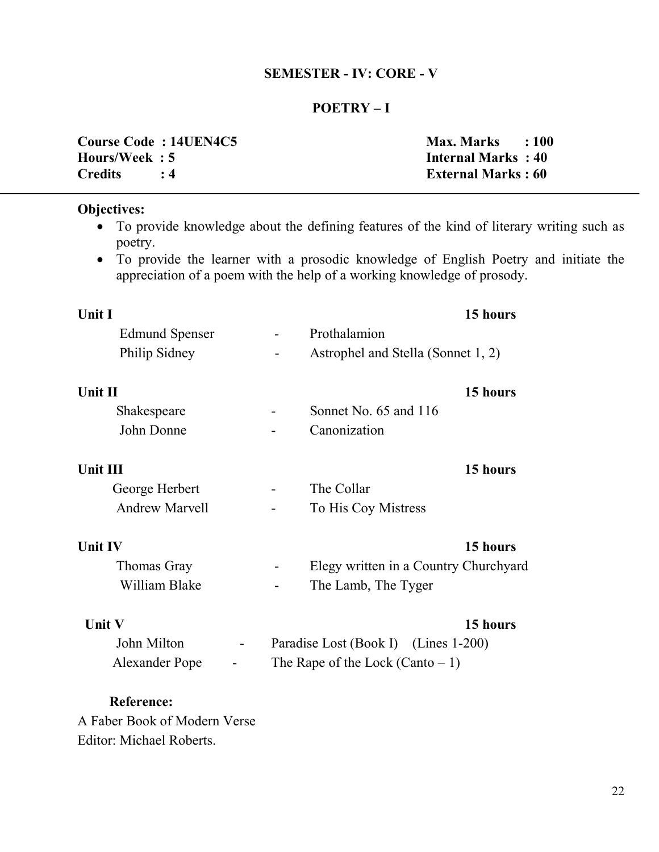### **SEMESTER - IV: CORE - V**

#### **POETRY – I**

|                | <b>Course Code: 14UEN4C5</b> | Max. Marks $\qquad$ : 100 |  |
|----------------|------------------------------|---------------------------|--|
| Hours/Week : 5 |                              | <b>Internal Marks: 40</b> |  |
| Credits        |                              | <b>External Marks: 60</b> |  |

#### **Objectives:**

- To provide knowledge about the defining features of the kind of literary writing such as poetry.
- To provide the learner with a prosodic knowledge of English Poetry and initiate the appreciation of a poem with the help of a working knowledge of prosody.

| Unit I                |  |                                       | 15 hours |
|-----------------------|--|---------------------------------------|----------|
| Edmund Spenser        |  | Prothalamion                          |          |
| Philip Sidney         |  | Astrophel and Stella (Sonnet 1, 2)    |          |
| Unit II               |  |                                       | 15 hours |
| Shakespeare           |  | Sonnet No. 65 and 116                 |          |
| John Donne            |  | Canonization                          |          |
| Unit III              |  |                                       | 15 hours |
| George Herbert        |  | The Collar                            |          |
| <b>Andrew Marvell</b> |  | To His Coy Mistress                   |          |
| <b>Unit IV</b>        |  |                                       | 15 hours |
| Thomas Gray           |  | Elegy written in a Country Churchyard |          |
| William Blake         |  | The Lamb, The Tyger                   |          |
| Unit V                |  |                                       | 15 hours |
| John Milton           |  | Paradise Lost (Book I) (Lines 1-200)  |          |
| Alexander Pope        |  | The Rape of the Lock (Canto $-1$ )    |          |

#### **Reference:**

A Faber Book of Modern Verse Editor: Michael Roberts.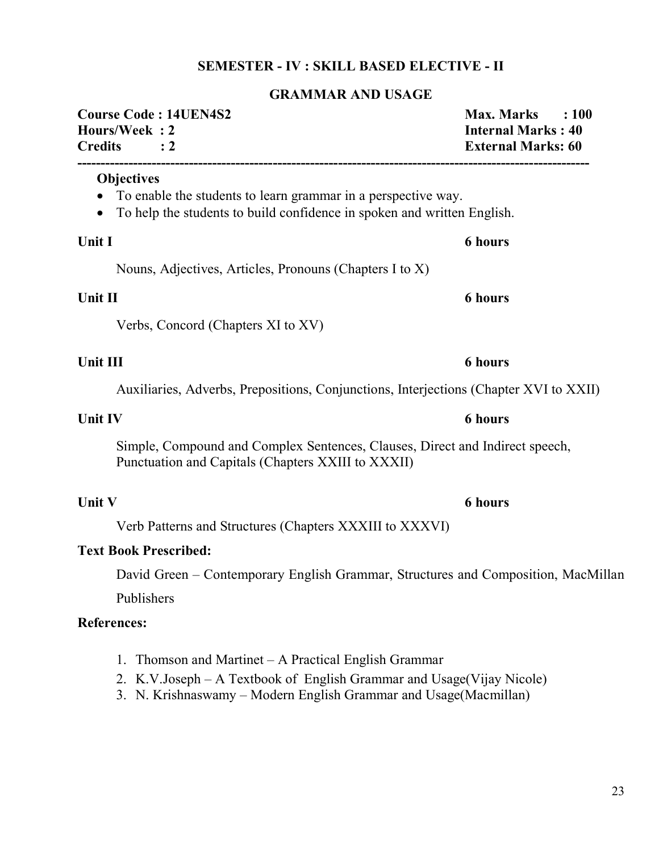#### **SEMESTER - IV : SKILL BASED ELECTIVE - II**

#### **GRAMMAR AND USAGE**

### **Course Code : 14UEN4S2 Max. Marks : 100 Hours/Week : 2 Internal Marks : 40 Credits : 2 External Marks: 60 --------------------------------------------------------------------------------------------------------------**

#### **Objectives**

- To enable the students to learn grammar in a perspective way.
- To help the students to build confidence in spoken and written English.

# **Unit I 6 hours** Nouns, Adjectives, Articles, Pronouns (Chapters I to X)

#### **Unit II 6 hours**

Verbs, Concord (Chapters XI to XV)

Auxiliaries, Adverbs, Prepositions, Conjunctions, Interjections (Chapter XVI to XXII)

#### **Unit IV 6 hours**

Simple, Compound and Complex Sentences, Clauses, Direct and Indirect speech, Punctuation and Capitals (Chapters XXIII to XXXII)

#### **Unit V 6 hours**

Verb Patterns and Structures (Chapters XXXIII to XXXVI)

#### **Text Book Prescribed:**

David Green – Contemporary English Grammar, Structures and Composition, MacMillan

Publishers

#### **References:**

- 1. Thomson and Martinet A Practical English Grammar
- 2. K.V.Joseph A Textbook of English Grammar and Usage(Vijay Nicole)
- 3. N. Krishnaswamy Modern English Grammar and Usage(Macmillan)

**Unit III 6 hours**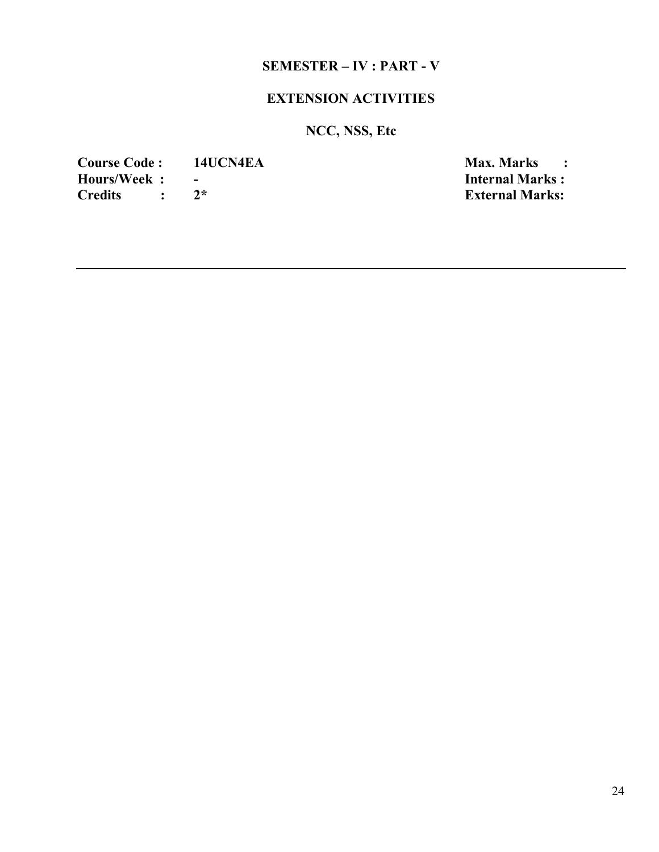#### **SEMESTER – IV : PART - V**

### **EXTENSION ACTIVITIES**

# **NCC, NSS, Etc**

| <b>Course Code:</b> | <b>14UCN4EA</b> |
|---------------------|-----------------|
| Hours/Week:         |                 |
| <b>Credits</b>      | $2*$            |

**Contract Contract Contract Contract Contract Contract Contract Contract Contract Contract Contract Contract Contract Contract Contract Contract Contract Contract Contract Contract Contract Contract Contract Contract Contr Internal Marks : External Marks:**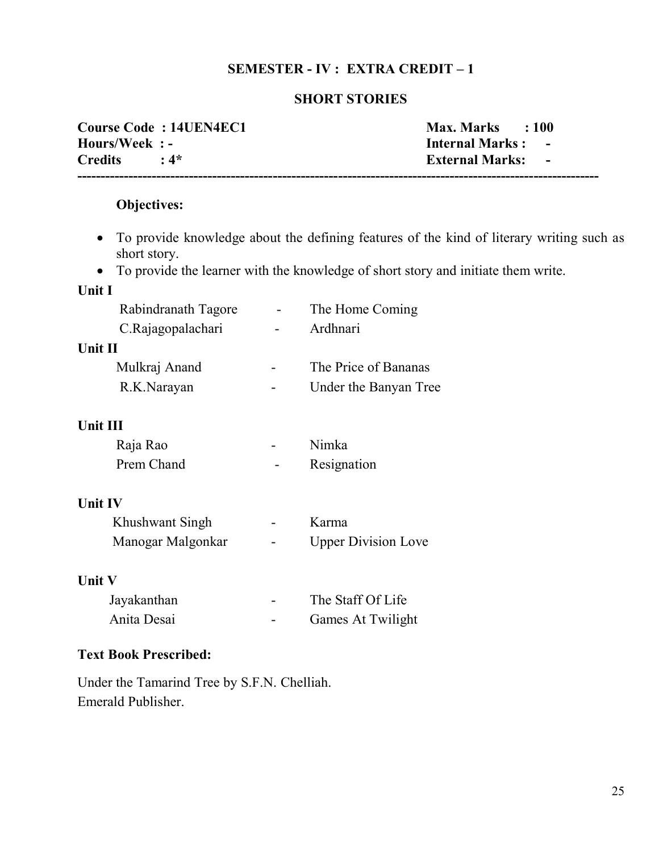#### **SEMESTER - IV : EXTRA CREDIT – 1**

#### **SHORT STORIES**

| <b>Course Code: 14UEN4EC1</b> | <b>Max. Marks</b> : 100   |
|-------------------------------|---------------------------|
| Hours/Week : -                | <b>Internal Marks : -</b> |
| $C$ redits $\cdot$ 4*         | <b>External Marks:</b> -  |

### **Objectives:**

- To provide knowledge about the defining features of the kind of literary writing such as short story.
- To provide the learner with the knowledge of short story and initiate them write.

#### **Unit I**

| Rabindranath Tagore | The Home Coming       |
|---------------------|-----------------------|
| C.Rajagopalachari   | Ardhnari              |
| Unit II             |                       |
| Mulkraj Anand       | The Price of Bananas  |
| R.K.Narayan         | Under the Banyan Tree |
| Unit III            |                       |
| Raja Rao            | Nimka                 |
| Prem Chand          | Resignation           |
| <b>Unit IV</b>      |                       |

| Khushwant Singh   | $\overline{\phantom{0}}$ | Karma                      |
|-------------------|--------------------------|----------------------------|
| Manogar Malgonkar | $\overline{\phantom{0}}$ | <b>Upper Division Love</b> |

#### **Unit V**

| Jayakanthan | -                        | The Staff Of Life        |
|-------------|--------------------------|--------------------------|
| Anita Desai | $\overline{\phantom{0}}$ | <b>Games At Twilight</b> |

#### **Text Book Prescribed:**

Under the Tamarind Tree by S.F.N. Chelliah. Emerald Publisher.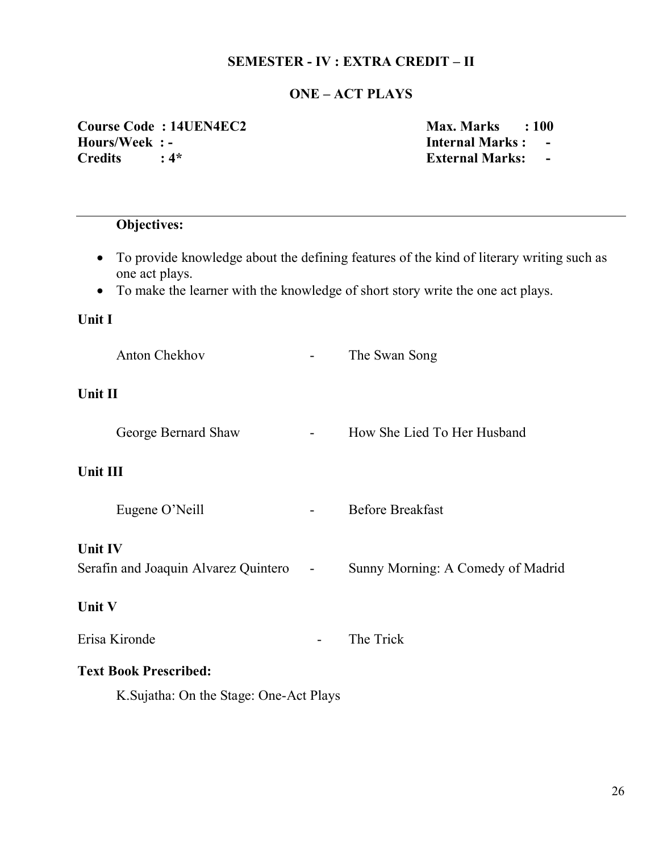#### **SEMESTER - IV : EXTRA CREDIT – II**

#### **ONE – ACT PLAYS**

**Course Code : 14UEN4EC2** Max. Marks : 100 **Hours/Week : - Internal Marks : - Credits : 4\* External Marks: -**

#### **Objectives:**

- To provide knowledge about the defining features of the kind of literary writing such as one act plays.
- To make the learner with the knowledge of short story write the one act plays.

#### **Unit I**

Anton Chekhov - The Swan Song **Unit II**  George Bernard Shaw - How She Lied To Her Husband **Unit III**  Eugene O'Neill - Before Breakfast **Unit IV**  Serafin and Joaquin Alvarez Quintero - Sunny Morning: A Comedy of Madrid **Unit V** Erisa Kironde - The Trick **Text Book Prescribed:**  K.Sujatha: On the Stage: One-Act Plays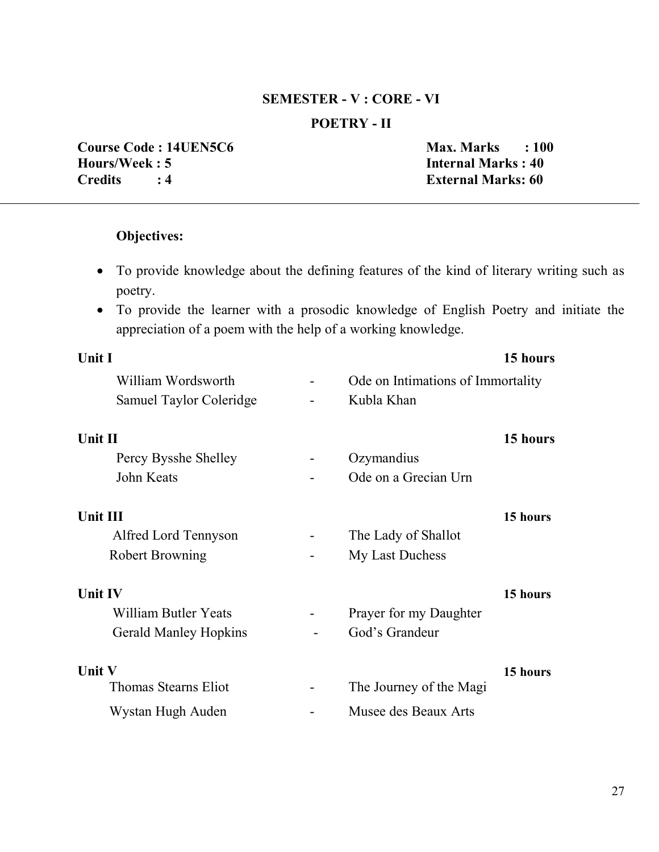#### **SEMESTER - V : CORE - VI**

#### **POETRY - II**

**Course Code : 14UEN5C6** Max. Marks : 100 **Hours/Week : 5**<br>Credits : 4 **Internal Marks : 40**<br>External Marks: 60

**External Marks: 60** 

#### **Objectives:**

- To provide knowledge about the defining features of the kind of literary writing such as poetry.
- To provide the learner with a prosodic knowledge of English Poetry and initiate the appreciation of a poem with the help of a working knowledge.

| <b>Unit I</b>  |                              |                              |                                   | 15 hours |
|----------------|------------------------------|------------------------------|-----------------------------------|----------|
|                | William Wordsworth           | $\qquad \qquad \blacksquare$ | Ode on Intimations of Immortality |          |
|                | Samuel Taylor Coleridge      |                              | Kubla Khan                        |          |
| Unit II        |                              |                              |                                   | 15 hours |
|                | Percy Bysshe Shelley         |                              | Ozymandius                        |          |
|                | John Keats                   |                              | Ode on a Grecian Urn              |          |
| Unit III       |                              |                              |                                   | 15 hours |
|                | Alfred Lord Tennyson         |                              | The Lady of Shallot               |          |
|                | Robert Browning              |                              | My Last Duchess                   |          |
| <b>Unit IV</b> |                              |                              |                                   | 15 hours |
|                | <b>William Butler Yeats</b>  |                              | Prayer for my Daughter            |          |
|                | <b>Gerald Manley Hopkins</b> |                              | God's Grandeur                    |          |
| <b>Unit V</b>  |                              |                              |                                   | 15 hours |
|                | <b>Thomas Stearns Eliot</b>  |                              | The Journey of the Magi           |          |
|                | Wystan Hugh Auden            |                              | Musee des Beaux Arts              |          |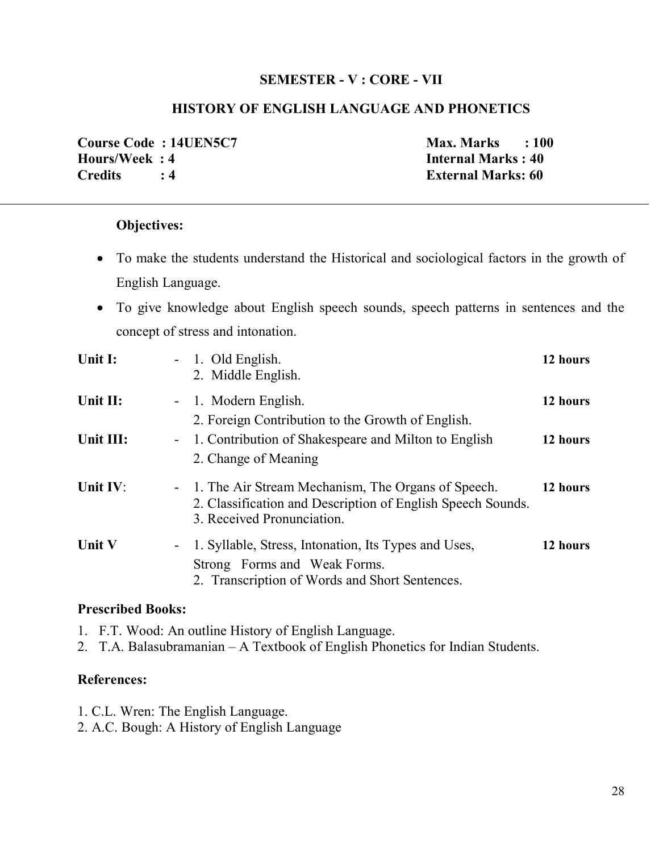#### **SEMESTER - V : CORE - VII**

#### **HISTORY OF ENGLISH LANGUAGE AND PHONETICS**

|                | Course Code: 14UEN5C7 | $Max. Marks$ : 100        |  |
|----------------|-----------------------|---------------------------|--|
| Hours/Week: 4  |                       | <b>Internal Marks: 40</b> |  |
| <b>Credits</b> |                       | <b>External Marks: 60</b> |  |

#### **Objectives:**

- To make the students understand the Historical and sociological factors in the growth of English Language.
- To give knowledge about English speech sounds, speech patterns in sentences and the concept of stress and intonation.

| Unit I:       | $-1$ . Old English.<br>2. Middle English.                                                                                                                          | 12 hours |
|---------------|--------------------------------------------------------------------------------------------------------------------------------------------------------------------|----------|
| Unit II:      | - 1. Modern English.<br>2. Foreign Contribution to the Growth of English.                                                                                          | 12 hours |
| Unit III:     | - 1. Contribution of Shakespeare and Milton to English<br>2. Change of Meaning                                                                                     | 12 hours |
| Unit IV:      | - 1. The Air Stream Mechanism, The Organs of Speech.<br>2. Classification and Description of English Speech Sounds.<br>3. Received Pronunciation.                  | 12 hours |
| <b>Unit V</b> | 1. Syllable, Stress, Intonation, Its Types and Uses,<br>$\overline{\phantom{0}}$<br>Strong Forms and Weak Forms.<br>2. Transcription of Words and Short Sentences. | 12 hours |

#### **Prescribed Books:**

1. F.T. Wood: An outline History of English Language.

2. T.A. Balasubramanian – A Textbook of English Phonetics for Indian Students.

#### **References:**

- 1. C.L. Wren: The English Language.
- 2. A.C. Bough: A History of English Language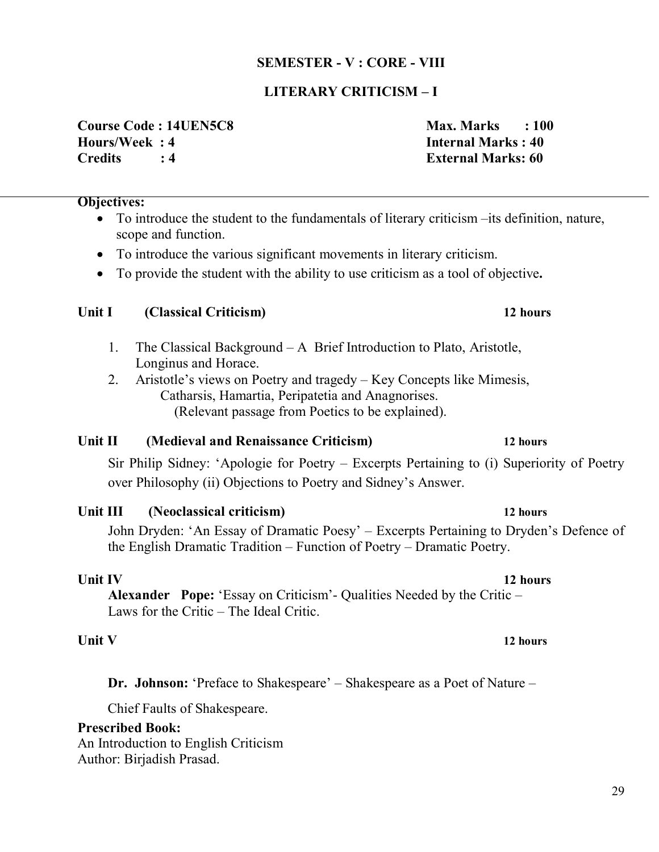29

#### **SEMESTER - V : CORE - VIII**

#### **LITERARY CRITICISM – I**

#### **Course Code : 14UEN5C8 Max. Marks : 100 Hours/Week : 4 Internal Marks : 40 Credits : 4 External Marks: 60**

#### **Objectives:**

- To introduce the student to the fundamentals of literary criticism –its definition, nature, scope and function.
- To introduce the various significant movements in literary criticism.
- To provide the student with the ability to use criticism as a tool of objective**.**

#### **Unit I (Classical Criticism) 12 hours**

- 1. The Classical Background A Brief Introduction to Plato, Aristotle, Longinus and Horace.
- 2. Aristotle's views on Poetry and tragedy Key Concepts like Mimesis, Catharsis, Hamartia, Peripatetia and Anagnorises. (Relevant passage from Poetics to be explained).

#### **Unit II (Medieval and Renaissance Criticism) 12 hours**

 Sir Philip Sidney: 'Apologie for Poetry – Excerpts Pertaining to (i) Superiority of Poetry over Philosophy (ii) Objections to Poetry and Sidney's Answer.

#### **Unit III (Neoclassical criticism) 12 hours** John Dryden: 'An Essay of Dramatic Poesy' – Excerpts Pertaining to Dryden's Defence of the English Dramatic Tradition – Function of Poetry – Dramatic Poetry.

**Unit IV** 12 hours **Alexander Pope:** 'Essay on Criticism'- Qualities Needed by the Critic – Laws for the Critic – The Ideal Critic.

**Dr. Johnson:** 'Preface to Shakespeare' – Shakespeare as a Poet of Nature –

Chief Faults of Shakespeare.

#### **Prescribed Book:**

An Introduction to English Criticism Author: Birjadish Prasad.

#### **Unit V** 12 hours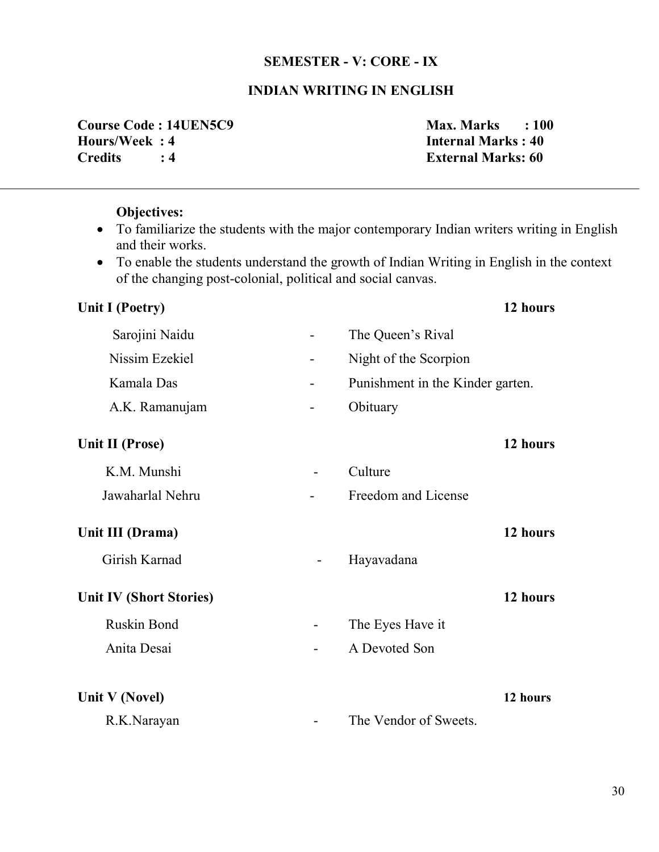### **SEMESTER - V: CORE - IX**

### **INDIAN WRITING IN ENGLISH**

**Course Code : 14UEN5C9** Max. Marks : 100 **Hours/Week : 4** Internal Marks : 40 **Credits : 4 External Marks: 60**

#### **Objectives:**

- To familiarize the students with the major contemporary Indian writers writing in English and their works.
- To enable the students understand the growth of Indian Writing in English in the context of the changing post-colonial, political and social canvas.

#### **Unit I (Poetry) 12 hours**

 $\overline{a}$ 

# Sarojini Naidu - The Queen's Rival

| $\sim$ $\mu$ $\sim$ $\mu$ $\sim$ $\sim$ $\sim$ |   | $\sim$ $\alpha \sim$ $\alpha$ $\sim$ $\alpha$ $\alpha$ |            |
|------------------------------------------------|---|--------------------------------------------------------|------------|
| Nissim Ezekiel                                 |   | Night of the Scorpion                                  |            |
| Kamala Das                                     |   | Punishment in the Kinder garten.                       |            |
| A.K. Ramanujam                                 | - | Obituary                                               |            |
| <b>Unit II (Prose)</b>                         |   |                                                        | 12 hours   |
| K.M. Munshi                                    |   | Culture                                                |            |
| Jawaharlal Nehru                               |   | Freedom and License                                    |            |
| Unit III (Drama)                               |   |                                                        | 12 hours   |
| Girish Karnad                                  | - | Hayavadana                                             |            |
| <b>Unit IV (Short Stories)</b>                 |   |                                                        | 12 hours   |
| Ruskin Bond                                    |   | The Eyes Have it                                       |            |
| Anita Desai                                    |   | A Devoted Son                                          |            |
| 11. LEZAL AL                                   |   |                                                        | <b>181</b> |

**Unit V (Novel) 12 hours** R.K.Narayan - The Vendor of Sweets.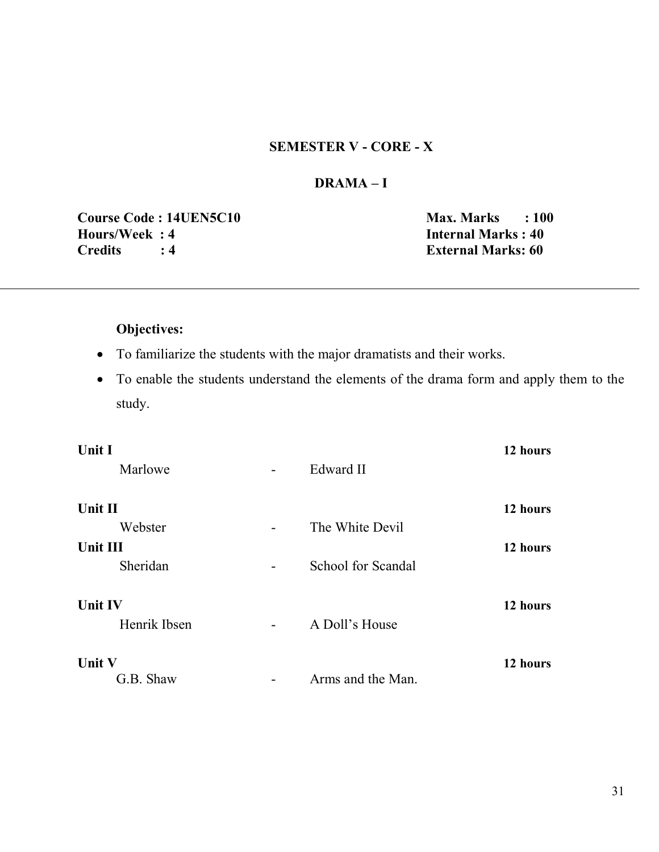#### **SEMESTER V - CORE - X**

#### **DRAMA – I**

**Course Code : 14UEN5C10** Max. Marks : 100<br> **Hours/Week : 4 Max. Marks : 40 Max. Marks : 40 Hours/Week : 4**<br>Credits : 4 **Internal Marks : 40**<br>External Marks: 60

**CREDITS : 4** External Marks: 60

## **Objectives:**

- To familiarize the students with the major dramatists and their works.
- To enable the students understand the elements of the drama form and apply them to the study.

| <b>Unit I</b><br>Marlowe       | Edward II          | 12 hours             |
|--------------------------------|--------------------|----------------------|
| Unit II<br>Webster<br>Unit III | The White Devil    | 12 hours<br>12 hours |
| Sheridan                       | School for Scandal |                      |
| <b>Unit IV</b><br>Henrik Ibsen | A Doll's House     | 12 hours             |
| <b>Unit V</b><br>G.B. Shaw     | Arms and the Man.  | 12 hours             |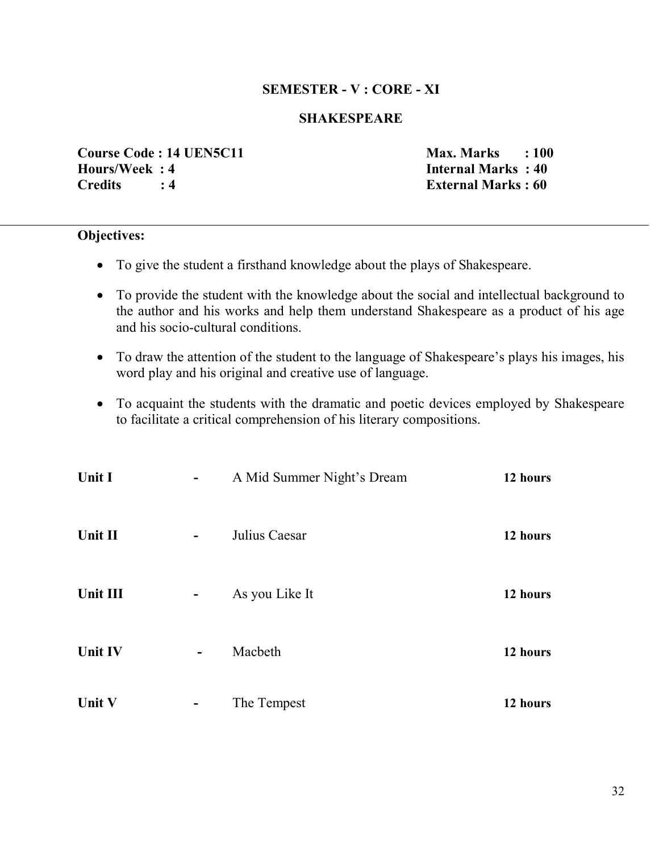#### **SEMESTER - V : CORE - XI**

#### **SHAKESPEARE**

**Course Code : 14 UEN5C11** Max. Marks : 100 **Hours/Week : 4 Internal Marks : 40 Credits : 4 External Marks : 60**

#### **Objectives:**

- To give the student a firsthand knowledge about the plays of Shakespeare.
- To provide the student with the knowledge about the social and intellectual background to the author and his works and help them understand Shakespeare as a product of his age and his socio-cultural conditions.
- To draw the attention of the student to the language of Shakespeare's plays his images, his word play and his original and creative use of language.
- To acquaint the students with the dramatic and poetic devices employed by Shakespeare to facilitate a critical comprehension of his literary compositions.

| Unit I         |   | A Mid Summer Night's Dream | 12 hours |
|----------------|---|----------------------------|----------|
| Unit II        |   | Julius Caesar              | 12 hours |
| Unit III       | - | As you Like It             | 12 hours |
| <b>Unit IV</b> | - | Macbeth                    | 12 hours |
| <b>Unit V</b>  |   | The Tempest                | 12 hours |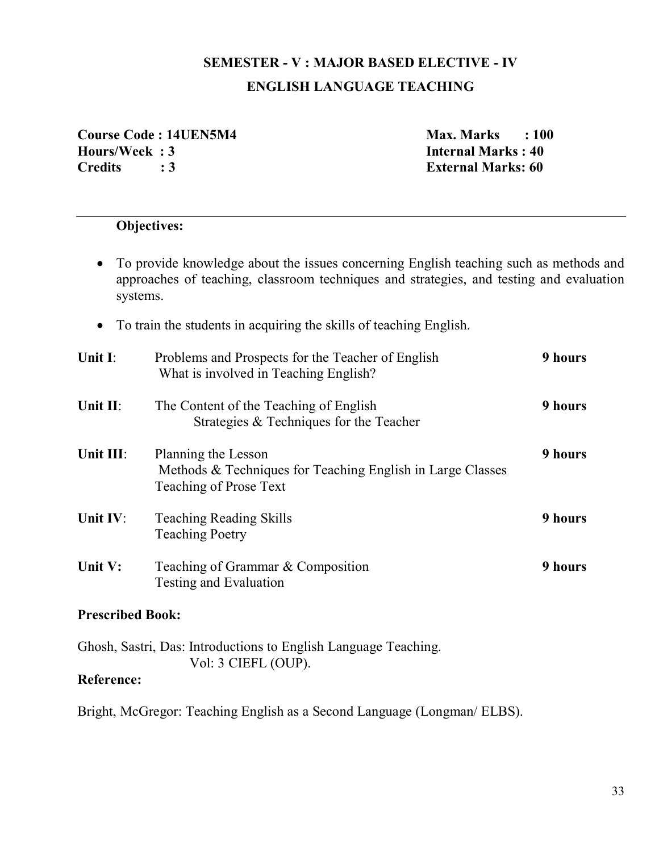# **SEMESTER - V : MAJOR BASED ELECTIVE - IV ENGLISH LANGUAGE TEACHING**

**Course Code : 14UEN5M4 Max. Marks : 100 Hours/Week : 3 Internal Marks : 40 Credits : 3 External Marks: 60**

#### **Objectives:**

- To provide knowledge about the issues concerning English teaching such as methods and approaches of teaching, classroom techniques and strategies, and testing and evaluation systems.
- To train the students in acquiring the skills of teaching English.

| Unit I:                 | Problems and Prospects for the Teacher of English<br>What is involved in Teaching English?                         | 9 hours |
|-------------------------|--------------------------------------------------------------------------------------------------------------------|---------|
| Unit II:                | The Content of the Teaching of English<br>Strategies & Techniques for the Teacher                                  | 9 hours |
| Unit III:               | Planning the Lesson<br>Methods & Techniques for Teaching English in Large Classes<br><b>Teaching of Prose Text</b> | 9 hours |
| Unit IV:                | <b>Teaching Reading Skills</b><br><b>Teaching Poetry</b>                                                           | 9 hours |
| Unit V:                 | Teaching of Grammar & Composition<br>Testing and Evaluation                                                        | 9 hours |
| <b>Prescribed Book:</b> |                                                                                                                    |         |
|                         |                                                                                                                    |         |

Ghosh, Sastri, Das: Introductions to English Language Teaching. Vol: 3 CIEFL (OUP).

#### **Reference:**

Bright, McGregor: Teaching English as a Second Language (Longman/ ELBS).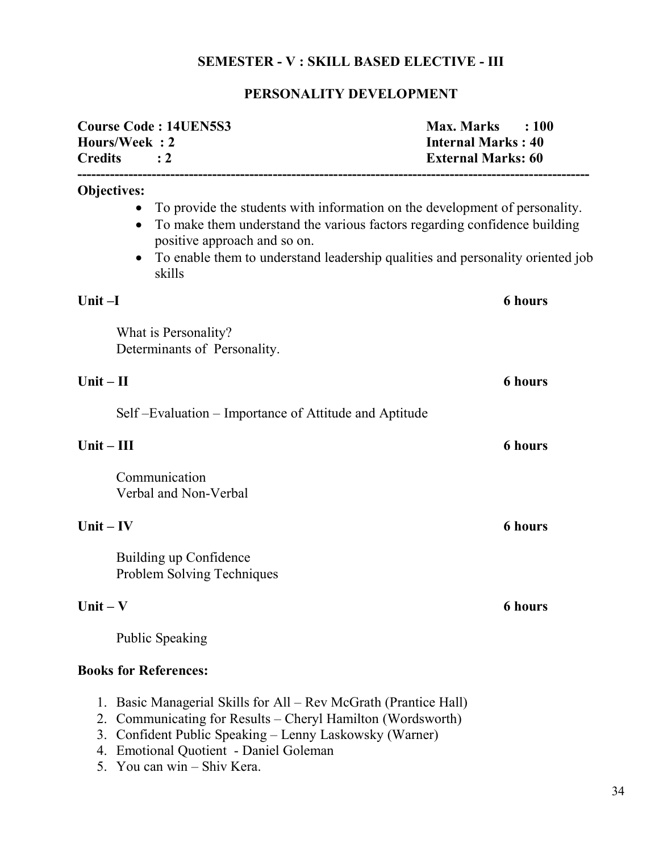### **SEMESTER - V : SKILL BASED ELECTIVE - III**

### **PERSONALITY DEVELOPMENT**

| <b>Credits</b>       | <b>Course Code: 14UEN5S3</b><br>Hours/Week: 2<br>$\cdot$ 2                                                                                                                                                                                                                                        | <b>Max. Marks</b><br>: 100<br><b>Internal Marks: 40</b><br><b>External Marks: 60</b> |
|----------------------|---------------------------------------------------------------------------------------------------------------------------------------------------------------------------------------------------------------------------------------------------------------------------------------------------|--------------------------------------------------------------------------------------|
| <b>Objectives:</b>   | To provide the students with information on the development of personality.<br>To make them understand the various factors regarding confidence building<br>$\bullet$<br>positive approach and so on.<br>To enable them to understand leadership qualities and personality oriented job<br>skills |                                                                                      |
| Unit-I               |                                                                                                                                                                                                                                                                                                   | <b>6 hours</b>                                                                       |
|                      | What is Personality?<br>Determinants of Personality.                                                                                                                                                                                                                                              |                                                                                      |
| Unit $-$ II          |                                                                                                                                                                                                                                                                                                   | <b>6 hours</b>                                                                       |
|                      | Self-Evaluation – Importance of Attitude and Aptitude                                                                                                                                                                                                                                             |                                                                                      |
| $Unit - III$         |                                                                                                                                                                                                                                                                                                   | <b>6 hours</b>                                                                       |
|                      | Communication<br>Verbal and Non-Verbal                                                                                                                                                                                                                                                            |                                                                                      |
| Unit $-$ IV          |                                                                                                                                                                                                                                                                                                   | <b>6 hours</b>                                                                       |
|                      | Building up Confidence<br>Problem Solving Techniques                                                                                                                                                                                                                                              |                                                                                      |
| Unit $-V$            |                                                                                                                                                                                                                                                                                                   | <b>6 hours</b>                                                                       |
|                      | <b>Public Speaking</b>                                                                                                                                                                                                                                                                            |                                                                                      |
|                      | <b>Books for References:</b>                                                                                                                                                                                                                                                                      |                                                                                      |
| 1.<br>2.<br>3.<br>4. | Basic Managerial Skills for All – Rev McGrath (Prantice Hall)<br>Communicating for Results - Cheryl Hamilton (Wordsworth)<br>Confident Public Speaking - Lenny Laskowsky (Warner)<br><b>Emotional Quotient - Daniel Goleman</b><br>5. You can win - Shiv Kera.                                    |                                                                                      |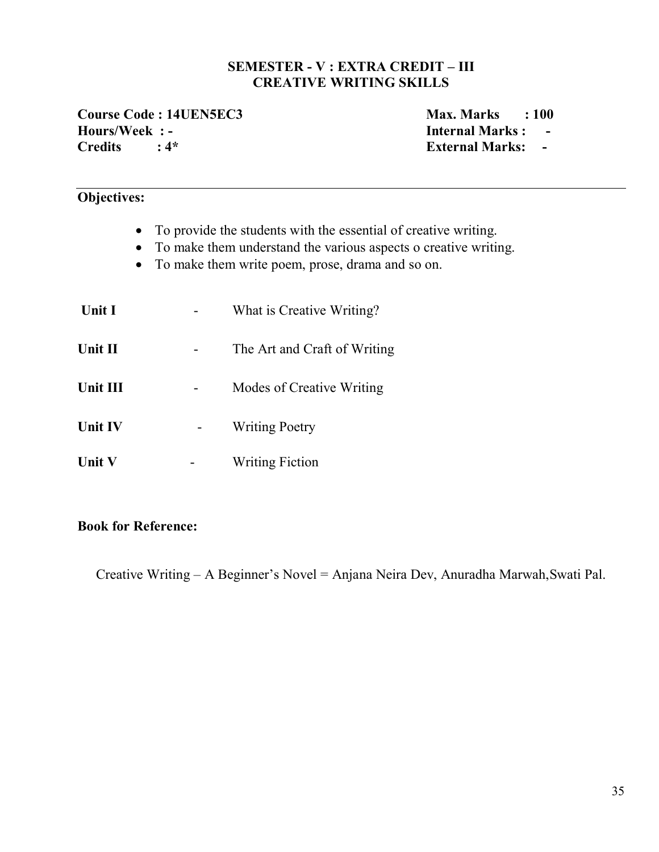#### **SEMESTER - V : EXTRA CREDIT – III CREATIVE WRITING SKILLS**

**Course Code : 14UEN5EC3** Max. Marks : 100 **Hours/Week : - Internal Marks : - Credits : 4\* External Marks: -**

#### **Objectives:**

- To provide the students with the essential of creative writing.
- To make them understand the various aspects o creative writing.
- To make them write poem, prose, drama and so on.

| <b>Unit I</b>  | What is Creative Writing?    |
|----------------|------------------------------|
| Unit II        | The Art and Craft of Writing |
| Unit III       | Modes of Creative Writing    |
| <b>Unit IV</b> | <b>Writing Poetry</b>        |
| <b>Unit V</b>  | <b>Writing Fiction</b>       |

#### **Book for Reference:**

Creative Writing – A Beginner's Novel = Anjana Neira Dev, Anuradha Marwah,Swati Pal.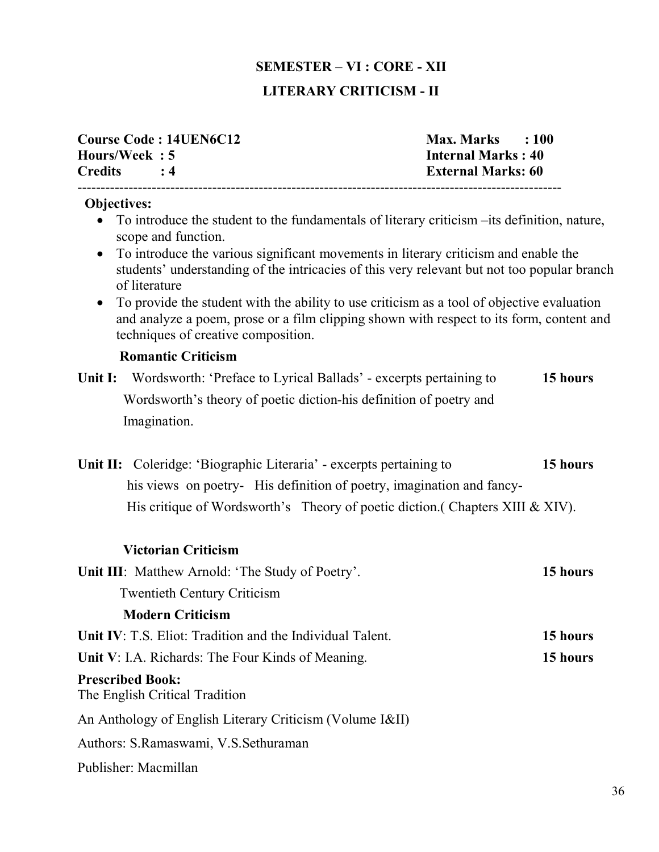# **SEMESTER – VI : CORE - XII LITERARY CRITICISM - II**

| <b>Course Code: 14UEN6C12</b><br>Hours/Week: 5<br><b>Credits</b><br>$\div 4$                                                                                                                                                               | <b>Max. Marks</b><br>: 100<br><b>Internal Marks: 40</b><br><b>External Marks: 60</b> |
|--------------------------------------------------------------------------------------------------------------------------------------------------------------------------------------------------------------------------------------------|--------------------------------------------------------------------------------------|
| <b>Objectives:</b>                                                                                                                                                                                                                         |                                                                                      |
| To introduce the student to the fundamentals of literary criticism – its definition, nature,<br>scope and function.                                                                                                                        |                                                                                      |
| To introduce the various significant movements in literary criticism and enable the<br>$\bullet$<br>students' understanding of the intricacies of this very relevant but not too popular branch<br>of literature                           |                                                                                      |
| To provide the student with the ability to use criticism as a tool of objective evaluation<br>$\bullet$<br>and analyze a poem, prose or a film clipping shown with respect to its form, content and<br>techniques of creative composition. |                                                                                      |
| <b>Romantic Criticism</b>                                                                                                                                                                                                                  |                                                                                      |
| Unit I:<br>Wordsworth: 'Preface to Lyrical Ballads' - excerpts pertaining to                                                                                                                                                               | 15 hours                                                                             |
| Wordsworth's theory of poetic diction-his definition of poetry and                                                                                                                                                                         |                                                                                      |
| Imagination.                                                                                                                                                                                                                               |                                                                                      |
| Unit II: Coleridge: 'Biographic Literaria' - excerpts pertaining to<br>his views on poetry- His definition of poetry, imagination and fancy-<br>His critique of Wordsworth's Theory of poetic diction. (Chapters XIII & XIV).              | 15 hours                                                                             |
| <b>Victorian Criticism</b>                                                                                                                                                                                                                 |                                                                                      |
| Unit III: Matthew Arnold: 'The Study of Poetry'.                                                                                                                                                                                           | 15 hours                                                                             |
| <b>Twentieth Century Criticism</b>                                                                                                                                                                                                         |                                                                                      |
| <b>Modern Criticism</b>                                                                                                                                                                                                                    |                                                                                      |
| Unit IV: T.S. Eliot: Tradition and the Individual Talent.                                                                                                                                                                                  | 15 hours                                                                             |
| Unit V: I.A. Richards: The Four Kinds of Meaning.                                                                                                                                                                                          | 15 hours                                                                             |
| <b>Prescribed Book:</b><br>The English Critical Tradition                                                                                                                                                                                  |                                                                                      |
| An Anthology of English Literary Criticism (Volume I&II)                                                                                                                                                                                   |                                                                                      |
| Authors: S.Ramaswami, V.S.Sethuraman                                                                                                                                                                                                       |                                                                                      |
| Publisher: Macmillan                                                                                                                                                                                                                       |                                                                                      |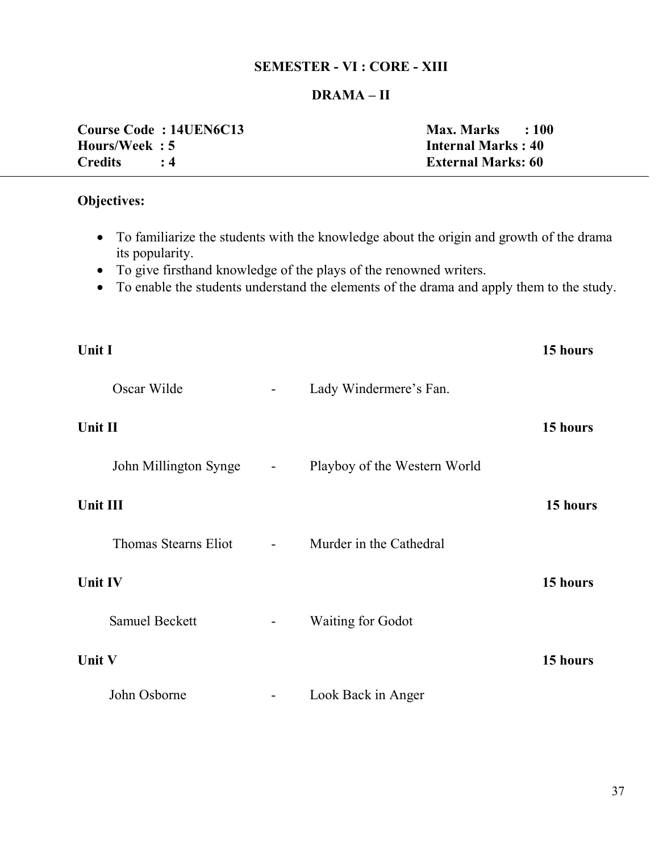#### **SEMESTER - VI : CORE - XIII**

#### **DRAMA – II**

|               | <b>Course Code: 14UEN6C13</b> | <b>Max. Marks</b><br>$\therefore$ 100 |
|---------------|-------------------------------|---------------------------------------|
| Hours/Week: 5 |                               | <b>Internal Marks: 40</b>             |
| Credits : 4   |                               | <b>External Marks: 60</b>             |

### **Objectives:**

- To familiarize the students with the knowledge about the origin and growth of the drama its popularity.
- To give firsthand knowledge of the plays of the renowned writers.
- To enable the students understand the elements of the drama and apply them to the study.

| <b>Unit I</b>   |                         |                          |                              | 15 hours |
|-----------------|-------------------------|--------------------------|------------------------------|----------|
|                 | Oscar Wilde             | $\blacksquare$           | Lady Windermere's Fan.       |          |
| Unit II         |                         |                          |                              | 15 hours |
|                 | John Millington Synge - |                          | Playboy of the Western World |          |
| <b>Unit III</b> |                         |                          |                              | 15 hours |
|                 | Thomas Stearns Eliot    | $\overline{\phantom{a}}$ | Murder in the Cathedral      |          |
| <b>Unit IV</b>  |                         |                          |                              | 15 hours |
|                 | <b>Samuel Beckett</b>   | $\overline{\phantom{a}}$ | <b>Waiting for Godot</b>     |          |
| Unit V          |                         |                          |                              | 15 hours |
|                 | John Osborne            |                          | Look Back in Anger           |          |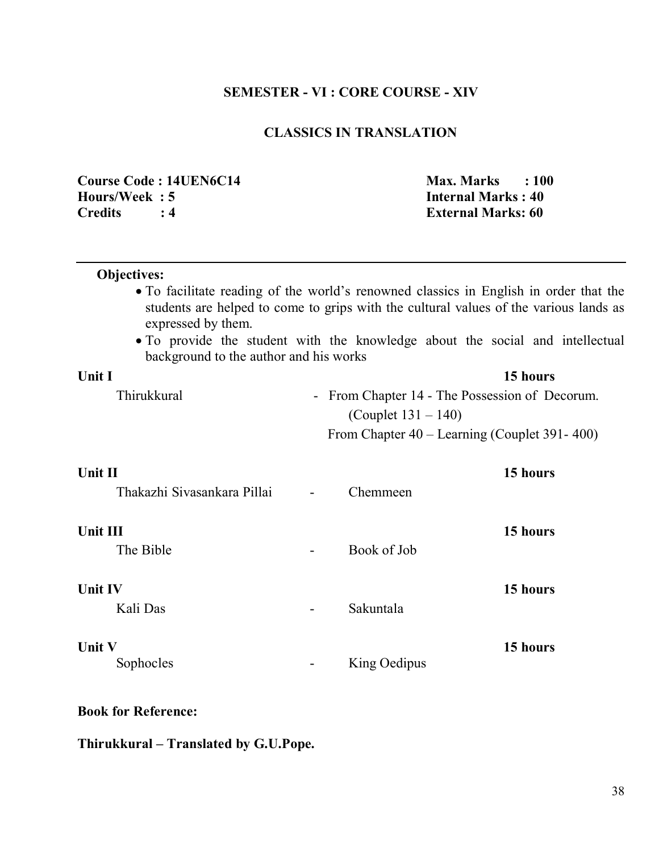### **SEMESTER - VI : CORE COURSE - XIV**

### **CLASSICS IN TRANSLATION**

|                | <b>Course Code: 14UEN6C14</b> | <b>Max. Marks</b><br>$\pm 100$ |  |
|----------------|-------------------------------|--------------------------------|--|
| Hours/Week: 5  |                               | <b>Internal Marks: 40</b>      |  |
| <b>Credits</b> |                               | <b>External Marks: 60</b>      |  |

|               | Objectives:                            |                          |                        |                                                                                                                                                                                |
|---------------|----------------------------------------|--------------------------|------------------------|--------------------------------------------------------------------------------------------------------------------------------------------------------------------------------|
|               | expressed by them.                     |                          |                        | • To facilitate reading of the world's renowned classics in English in order that the<br>students are helped to come to grips with the cultural values of the various lands as |
|               | background to the author and his works |                          |                        | • To provide the student with the knowledge about the social and intellectual                                                                                                  |
| Unit I        |                                        |                          |                        | 15 hours                                                                                                                                                                       |
|               | Thirukkural                            | $\overline{\phantom{a}}$ | (Couplet $131 - 140$ ) | From Chapter 14 - The Possession of Decorum.                                                                                                                                   |
|               |                                        |                          |                        | From Chapter 40 – Learning (Couplet 391-400)                                                                                                                                   |
| Unit II       |                                        |                          |                        | 15 hours                                                                                                                                                                       |
|               | Thakazhi Sivasankara Pillai            |                          | Chemmeen               |                                                                                                                                                                                |
| Unit III      |                                        |                          |                        | 15 hours                                                                                                                                                                       |
|               | The Bible                              |                          | Book of Job            |                                                                                                                                                                                |
| Unit IV       |                                        |                          |                        | 15 hours                                                                                                                                                                       |
|               | Kali Das                               |                          | Sakuntala              |                                                                                                                                                                                |
| <b>Unit V</b> |                                        |                          |                        | 15 hours                                                                                                                                                                       |
|               | Sophocles                              |                          | King Oedipus           |                                                                                                                                                                                |

## **Book for Reference:**

# **Thirukkural – Translated by G.U.Pope.**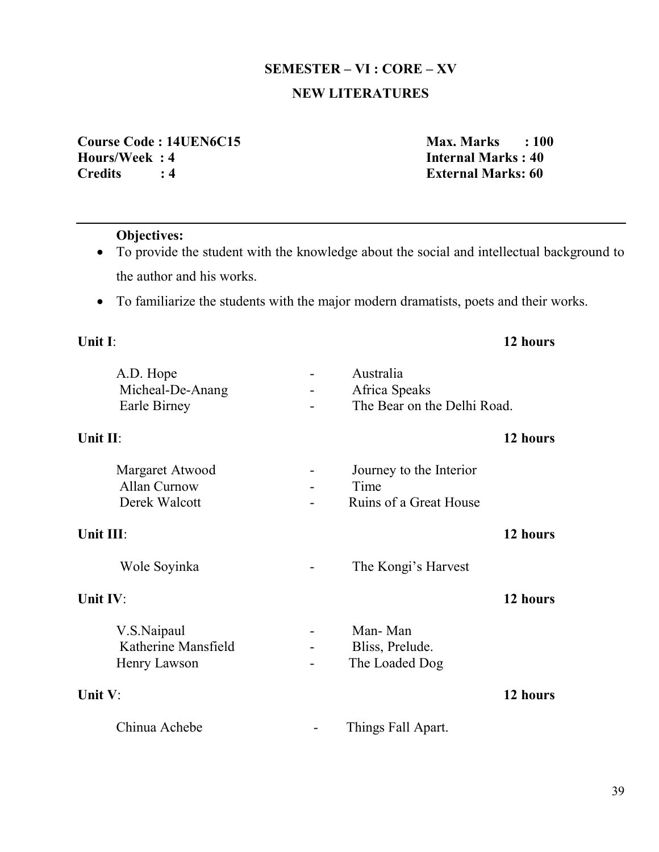# **SEMESTER – VI : CORE – XV NEW LITERATURES**

**Course Code : 14UEN6C15** Max. Marks : 100 **Hours/Week : 4**<br>Credits : 4 **Internal Marks : 40**<br>External Marks: 60

**Credits : 4 External Marks: 60**

#### **Objectives:**

- To provide the student with the knowledge about the social and intellectual background to the author and his works.
- To familiarize the students with the major modern dramatists, poets and their works.

| Unit I:   |                                                         |                                                           | 12 hours |
|-----------|---------------------------------------------------------|-----------------------------------------------------------|----------|
|           | A.D. Hope<br>Micheal-De-Anang<br>Earle Birney           | Australia<br>Africa Speaks<br>The Bear on the Delhi Road. |          |
| Unit II:  |                                                         |                                                           | 12 hours |
|           | Margaret Atwood<br><b>Allan Curnow</b><br>Derek Walcott | Journey to the Interior<br>Time<br>Ruins of a Great House |          |
| Unit III: |                                                         |                                                           | 12 hours |
|           | Wole Soyinka                                            | The Kongi's Harvest                                       |          |
| Unit IV:  |                                                         |                                                           | 12 hours |
|           | V.S.Naipaul<br>Katherine Mansfield<br>Henry Lawson      | Man-Man<br>Bliss, Prelude.<br>The Loaded Dog              |          |
| Unit V:   |                                                         |                                                           | 12 hours |
|           | Chinua Achebe                                           | Things Fall Apart.                                        |          |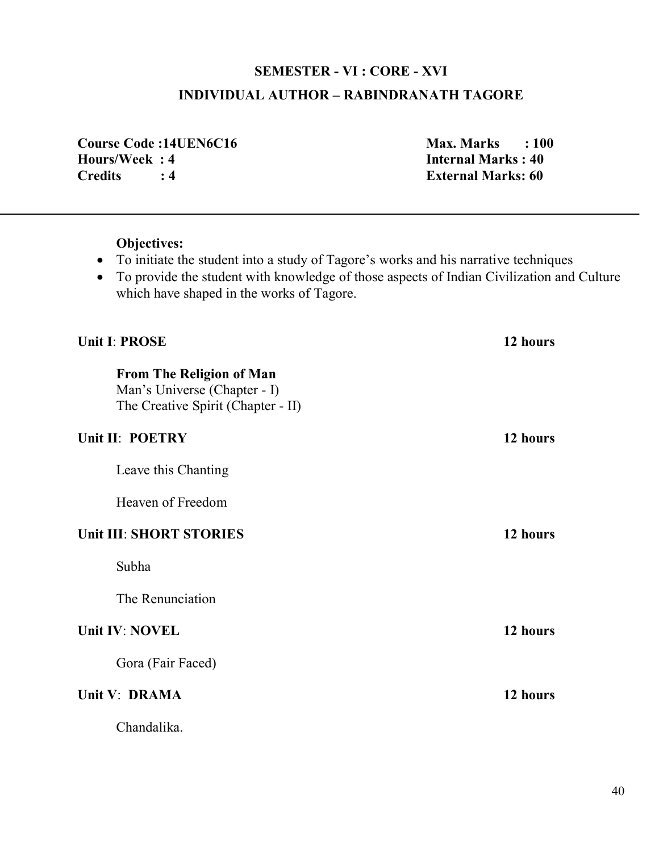# **SEMESTER - VI : CORE - XVI INDIVIDUAL AUTHOR – RABINDRANATH TAGORE**

**Course Code :14UEN6C16** Max. Marks : 100 **Hours/Week : 4 Internal Marks : 40 Credits : 4 External Marks: 60**

#### **Objectives:**

j

- To initiate the student into a study of Tagore's works and his narrative techniques
- To provide the student with knowledge of those aspects of Indian Civilization and Culture which have shaped in the works of Tagore.

# **Unit I**: **PROSE** 12 hours **From The Religion of Man**  Man's Universe (Chapter - I) The Creative Spirit (Chapter - II) **Unit II**: **POETRY** 12 hours Leave this Chanting Heaven of Freedom **Unit III: SHORT STORIES** 12 hours Subha The Renunciation **Unit IV: NOVEL** 12 hours Gora (Fair Faced) **Unit V: DRAMA** 12 hours Chandalika.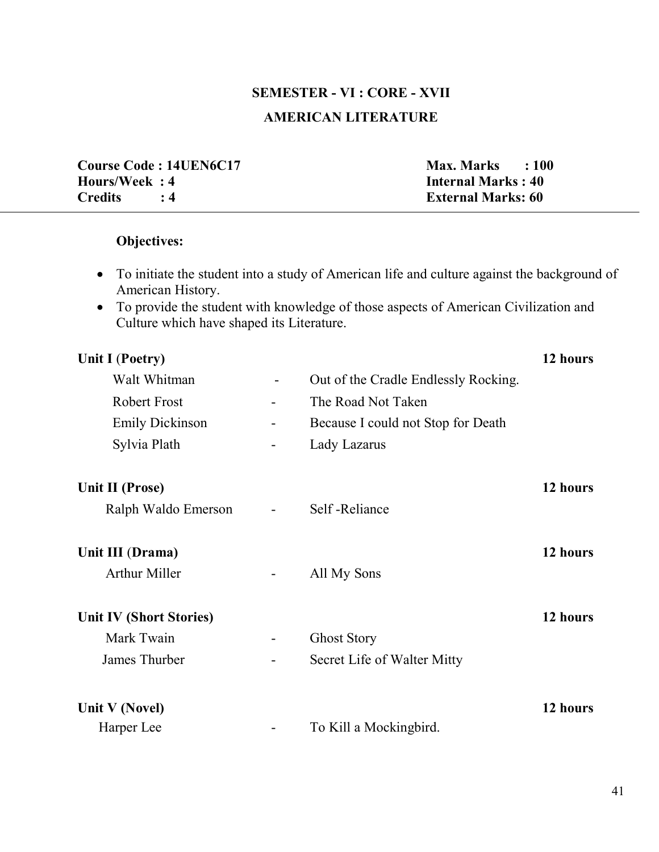# **SEMESTER - VI : CORE - XVII AMERICAN LITERATURE**

**Course Code : 14UEN6C17** Max. Marks : 100 **Hours/Week : 4**<br>Credits : 4 **Internal Marks : 40**<br>External Marks: 60

**Credits : 4 External Marks: 60**

#### **Objectives:**

j

- To initiate the student into a study of American life and culture against the background of American History.
- To provide the student with knowledge of those aspects of American Civilization and Culture which have shaped its Literature.

| Unit I (Poetry)                |                              |                                      | 12 hours |
|--------------------------------|------------------------------|--------------------------------------|----------|
| Walt Whitman                   |                              | Out of the Cradle Endlessly Rocking. |          |
| <b>Robert Frost</b>            | $\qquad \qquad \blacksquare$ | The Road Not Taken                   |          |
| <b>Emily Dickinson</b>         | $\qquad \qquad \blacksquare$ | Because I could not Stop for Death   |          |
| Sylvia Plath                   | $\overline{\phantom{a}}$     | Lady Lazarus                         |          |
| Unit II (Prose)                |                              |                                      | 12 hours |
| Ralph Waldo Emerson            |                              | Self-Reliance                        |          |
| Unit III (Drama)               |                              |                                      | 12 hours |
| <b>Arthur Miller</b>           | $\blacksquare$               | All My Sons                          |          |
| <b>Unit IV (Short Stories)</b> |                              |                                      | 12 hours |
| Mark Twain                     | -                            | <b>Ghost Story</b>                   |          |
| James Thurber                  | $\qquad \qquad \blacksquare$ | Secret Life of Walter Mitty          |          |
| Unit V (Novel)                 |                              |                                      | 12 hours |
| Harper Lee                     |                              | To Kill a Mockingbird.               |          |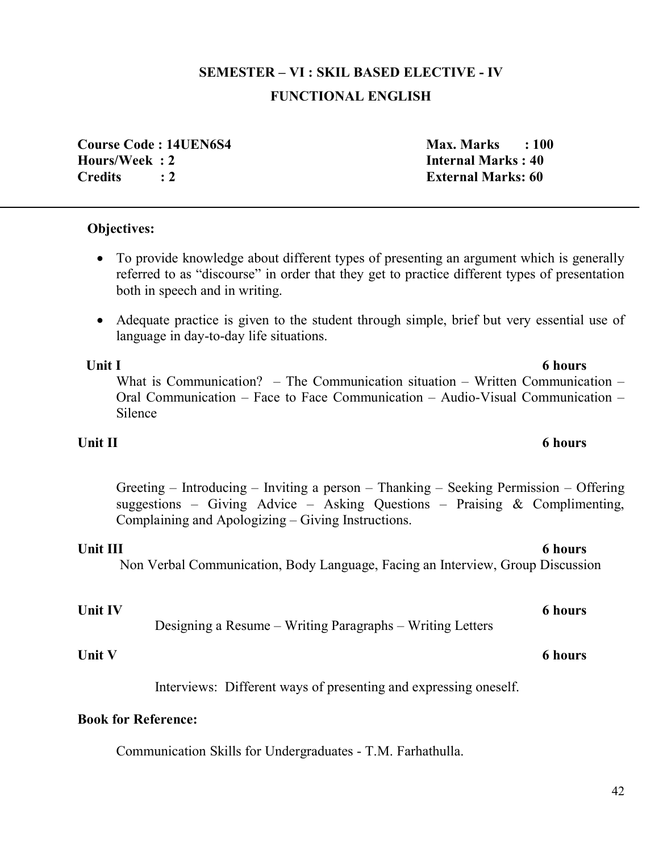# **SEMESTER – VI : SKIL BASED ELECTIVE - IV FUNCTIONAL ENGLISH**

**Course Code : 14UEN6S4 Max. Marks : 100 Hours/Week : 2 Internal Marks : 40 Credits : 2 External Marks: 60**

#### **Objectives:**

- To provide knowledge about different types of presenting an argument which is generally referred to as "discourse" in order that they get to practice different types of presentation both in speech and in writing.
- Adequate practice is given to the student through simple, brief but very essential use of language in day-to-day life situations.

*<u>Unit I* 6 hours **6** hours **6** hours **6** hours **6** hours **6** hours **6** hours **6** hours **6** hours **6** hours **6** hours **6** hours **6** hours **6** hours **6** hours **6** hours **6** hours **6** hours **6** hours **6** hours **6** hours **6**</u> What is Communication? – The Communication situation – Written Communication – Oral Communication – Face to Face Communication – Audio-Visual Communication – Silence

#### Unit II 6 hours

### Greeting – Introducing – Inviting a person – Thanking – Seeking Permission – Offering suggestions – Giving Advice – Asking Questions – Praising  $\&$  Complimenting, Complaining and Apologizing – Giving Instructions.

### **Unit III** 6 hours

Non Verbal Communication, Body Language, Facing an Interview, Group Discussion

#### Unit IV 6 hours

Designing a Resume – Writing Paragraphs – Writing Letters

#### **Unit V** 6 hours

Interviews: Different ways of presenting and expressing oneself.

#### **Book for Reference:**

Communication Skills for Undergraduates - T.M. Farhathulla.

#### 42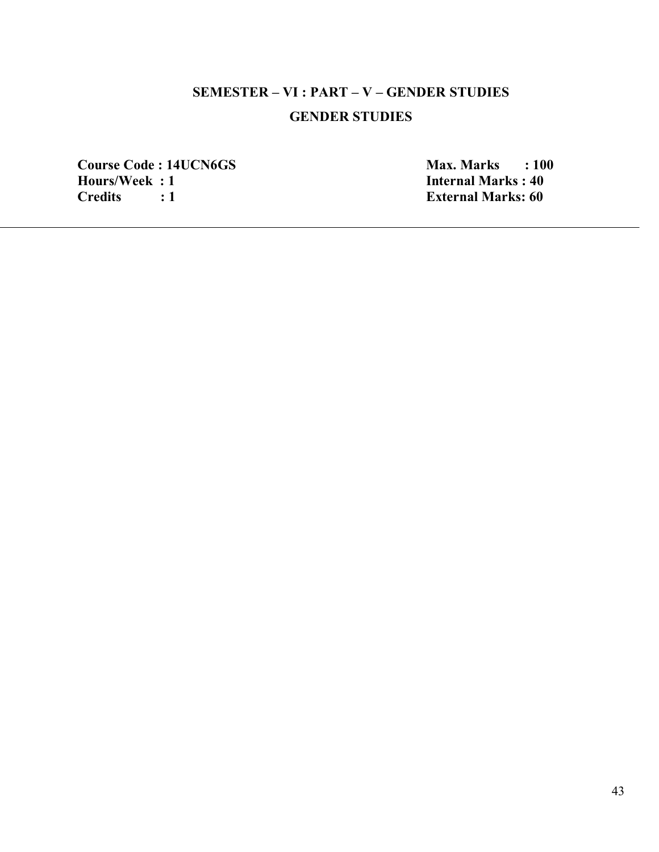# **SEMESTER – VI : PART – V – GENDER STUDIES GENDER STUDIES**

**Course Code : 14UCN6GS** Max. Marks : 100<br> **Hours/Week : 1 Hours/Week : 1**<br>Credits : 1 **Internal Marks : 40**<br>External Marks: 60

**External Marks: 60**